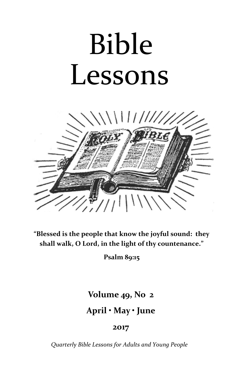# Bible Lessons



**"Blessed is the people that know the joyful sound: they shall walk, O Lord, in the light of thy countenance."**

**Psalm 89:15**

## **Volume 49, No 2**

## **April • May • June**

## **2017**

*Quarterly Bible Lessons for Adults and Young People*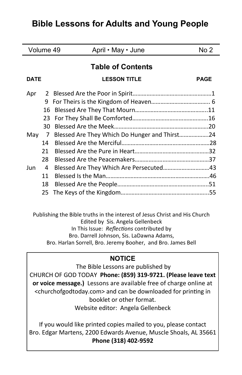## **Bible Lessons for Adults and Young People**

| Volume 49                |               | April • May • June                      | No <sub>2</sub> |
|--------------------------|---------------|-----------------------------------------|-----------------|
| <b>Table of Contents</b> |               |                                         |                 |
| <b>DATE</b>              |               | <b>LESSON TITLE</b>                     | <b>PAGE</b>     |
| Apr                      | $\mathcal{L}$ |                                         |                 |
|                          | 9             |                                         |                 |
|                          | 16            |                                         |                 |
|                          | 23            |                                         |                 |
|                          | 30            |                                         |                 |
| May                      | 7             |                                         |                 |
|                          | 14            |                                         |                 |
|                          | 21            |                                         |                 |
|                          | 28            |                                         |                 |
| Jun                      | 4             | Blessed Are They Which Are Persecuted43 |                 |
|                          | 11            |                                         |                 |
|                          | 18            |                                         |                 |
|                          | 25            |                                         |                 |

Publishing the Bible truths in the interest of Jesus Christ and His Church Edited by Sis. Angela Gellenbeck In This Issue: *Reflections* contributed by Bro. Darrell Johnson, Sis. LaDawna Adams, Bro. Harlan Sorrell, Bro. Jeremy Booher, and Bro. James Bell

## **NOTICE**

The Bible Lessons are published by CHURCH OF GOD TODAY **Phone: (859) 319-9721. (Please leave text or voice message.)** Lessons are available free of charge online at <churchofgodtoday.com> and can be downloaded for printing in booklet or other format. Website editor: Angela Gellenbeck

If you would like printed copies mailed to you, please contact Bro. Edgar Martens, 2200 Edwards Avenue, Muscle Shoals, AL 35661 **Phone (318) 402-9592**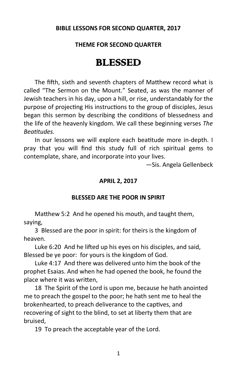## **BIBLE LESSONS FOR SECOND QUARTER, 2017**

## **THEME FOR SECOND QUARTER**

## BLESSED

The fifth, sixth and seventh chapters of Matthew record what is called "The Sermon on the Mount." Seated, as was the manner of Jewish teachers in his day, upon a hill, or rise, understandably for the purpose of projecting His instructions to the group of disciples, Jesus began this sermon by describing the conditions of blessedness and the life of the heavenly kingdom. We call these beginning verses *The Beatitudes.*

In our lessons we will explore each beatitude more in-depth. I pray that you will find this study full of rich spiritual gems to contemplate, share, and incorporate into your lives.

—Sis. Angela Gellenbeck

#### **APRIL 2, 2017**

#### **BLESSED ARE THE POOR IN SPIRIT**

Matthew 5:2 And he opened his mouth, and taught them, saying,

3 Blessed are the poor in spirit: for theirs is the kingdom of heaven.

Luke 6:20 And he lifted up his eyes on his disciples, and said, Blessed be ye poor: for yours is the kingdom of God.

Luke 4:17 And there was delivered unto him the book of the prophet Esaias. And when he had opened the book, he found the place where it was written,

18 The Spirit of the Lord is upon me, because he hath anointed me to preach the gospel to the poor; he hath sent me to heal the brokenhearted, to preach deliverance to the captives, and recovering of sight to the blind, to set at liberty them that are bruised,

19 To preach the acceptable year of the Lord.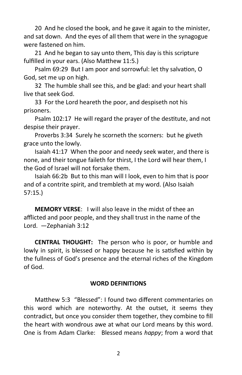20 And he closed the book, and he gave it again to the minister, and sat down. And the eyes of all them that were in the synagogue were fastened on him.

21 And he began to say unto them, This day is this scripture fulfilled in your ears. (Also Matthew 11:5.)

Psalm 69:29 But I am poor and sorrowful: let thy salvation, O God, set me up on high.

32 The humble shall see this, and be glad: and your heart shall live that seek God.

33 For the Lord heareth the poor, and despiseth not his prisoners.

Psalm 102:17 He will regard the prayer of the destitute, and not despise their prayer.

Proverbs 3:34 Surely he scorneth the scorners: but he giveth grace unto the lowly.

Isaiah 41:17 When the poor and needy seek water, and there is none, and their tongue faileth for thirst, I the Lord will hear them, I the God of Israel will not forsake them.

Isaiah 66:2b But to this man will I look, even to him that is poor and of a contrite spirit, and trembleth at my word. (Also Isaiah 57:15.)

**MEMORY VERSE**: I will also leave in the midst of thee an afflicted and poor people, and they shall trust in the name of the Lord. —Zephaniah 3:12

**CENTRAL THOUGHT:** The person who is poor, or humble and lowly in spirit, is blessed or happy because he is satisfied within by the fullness of God's presence and the eternal riches of the Kingdom of God.

## **WORD DEFINITIONS**

Matthew 5:3 "Blessed": I found two different commentaries on this word which are noteworthy. At the outset, it seems they contradict, but once you consider them together, they combine to fill the heart with wondrous awe at what our Lord means by this word. One is from Adam Clarke: Blessed means *happy*; from a word that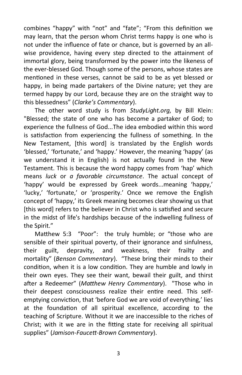combines "happy" with "not" and "fate"; "From this definition we may learn, that the person whom Christ terms happy is one who is not under the influence of fate or chance, but is governed by an allwise providence, having every step directed to the attainment of immortal glory, being transformed by the power into the likeness of the ever-blessed God. Though some of the persons, whose states are mentioned in these verses, cannot be said to be as yet blessed or happy, in being made partakers of the Divine nature; yet they are termed happy by our Lord, because they are on the straight way to this blessedness" (*Clarke's Commentary*).

The other word study is from *StudyLight.org*, by Bill Klein: "Blessed; the state of one who has become a partaker of God; to experience the fullness of God...The idea embodied within this word is satisfaction from experiencing the fullness of something. In the New Testament, [this word] is translated by the English words 'blessed,' 'fortunate,' and 'happy.' However, the meaning 'happy' (as we understand it in English) is not actually found in the New Testament. This is because the word happy comes from 'hap' which means *luck* or *a favorable circumstance*. The actual concept of 'happy' would be expressed by Greek words...meaning 'happy,' 'lucky,' 'fortunate,' or 'prosperity.' Once we remove the English concept of 'happy,' its Greek meaning becomes clear showing us that [this word] refers to the believer in Christ who is satisfied and secure in the midst of life's hardships because of the indwelling fullness of the Spirit."

Matthew 5:3 "Poor": the truly humble; or "those who are sensible of their spiritual poverty, of their ignorance and sinfulness, their guilt, depravity, and weakness, their frailty and mortality" (*Benson Commentary*). "These bring their minds to their condition, when it is a low condition. They are humble and lowly in their own eyes. They see their want, bewail their guilt, and thirst after a Redeemer" (*Matthew Henry Commentary*). "Those who in their deepest consciousness realize their entire need. This selfemptying conviction, that 'before God we are void of everything,' lies at the foundation of all spiritual excellence, according to the teaching of Scripture. Without it we are inaccessible to the riches of Christ; with it we are in the fitting state for receiving all spiritual supplies" (*Jamison-Faucett-Brown Commentary*).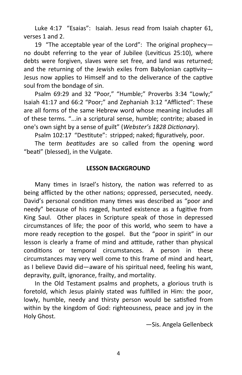Luke 4:17 "Esaias": Isaiah. Jesus read from Isaiah chapter 61, verses 1 and 2.

19 "The acceptable year of the Lord": The original prophecy no doubt referring to the year of Jubilee (Leviticus 25:10), where debts were forgiven, slaves were set free, and land was returned; and the returning of the Jewish exiles from Babylonian captivity— Jesus now applies to Himself and to the deliverance of the captive soul from the bondage of sin.

Psalm 69:29 and 32 "Poor," "Humble;" Proverbs 3:34 "Lowly;" Isaiah 41:17 and 66:2 "Poor;" and Zephaniah 3:12 "Afflicted": These are all forms of the same Hebrew word whose meaning includes all of these terms. "...in a scriptural sense, humble; contrite; abased in one's own sight by a sense of guilt" (*Webster's 1828 Dictionary*).

Psalm 102:17 "Destitute": stripped; naked; figuratively, poor.

The term *beatitudes* are so called from the opening word "beati" (blessed), in the Vulgate.

## **LESSON BACKGROUND**

Many times in Israel's history, the nation was referred to as being afflicted by the other nations; oppressed, persecuted, needy. David's personal condition many times was described as "poor and needy" because of his ragged, hunted existence as a fugitive from King Saul. Other places in Scripture speak of those in depressed circumstances of life; the poor of this world, who seem to have a more ready reception to the gospel. But the "poor in spirit" in our lesson is clearly a frame of mind and attitude, rather than physical conditions or temporal circumstances. A person in these circumstances may very well come to this frame of mind and heart, as I believe David did—aware of his spiritual need, feeling his want, depravity, guilt, ignorance, frailty, and mortality.

In the Old Testament psalms and prophets, a glorious truth is foretold, which Jesus plainly stated was fulfilled in Him: the poor, lowly, humble, needy and thirsty person would be satisfied from within by the kingdom of God: righteousness, peace and joy in the Holy Ghost.

—Sis. Angela Gellenbeck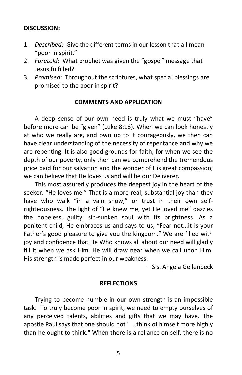## **DISCUSSION:**

- 1. *Described*: Give the different terms in our lesson that all mean "poor in spirit."
- 2. *Foretold*: What prophet was given the "gospel" message that Jesus fulfilled?
- 3. *Promised*: Throughout the scriptures, what special blessings are promised to the poor in spirit?

## **COMMENTS AND APPLICATION**

A deep sense of our own need is truly what we must "have" before more can be "given" (Luke 8:18). When we can look honestly at who we really are, and own up to it courageously, we then can have clear understanding of the necessity of repentance and why we are repenting. It is also good grounds for faith, for when we see the depth of our poverty, only then can we comprehend the tremendous price paid for our salvation and the wonder of His great compassion; we can believe that He loves us and will be our Deliverer.

This most assuredly produces the deepest joy in the heart of the seeker. "He loves me." That is a more real, substantial joy than they have who walk "in a vain show," or trust in their own selfrighteousness. The light of "He knew me, yet He loved me" dazzles the hopeless, guilty, sin-sunken soul with its brightness. As a penitent child, He embraces us and says to us, "Fear not...it is your Father's good pleasure to give you the kingdom." We are filled with joy and confidence that He Who knows all about our need will gladly fill it when we ask Him. He will draw near when we call upon Him. His strength is made perfect in our weakness.

—Sis. Angela Gellenbeck

#### **REFLECTIONS**

Trying to become humble in our own strength is an impossible task. To truly become poor in spirit, we need to empty ourselves of any perceived talents, abilities and gifts that we may have. The apostle Paul says that one should not " ...think of himself more highly than he ought to think." When there is a reliance on self, there is no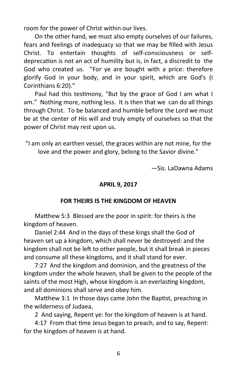room for the power of Christ within our lives.

 On the other hand, we must also empty ourselves of our failures, fears and feelings of inadequacy so that we may be filled with Jesus Christ. To entertain thoughts of self-consciousness or selfdeprecation is not an act of humility but is, in fact, a discredit to the God who created us. "For ye are bought with a price: therefore glorify God in your body, and in your spirit, which are God's (I Corinthians 6:20)."

Paul had this testimony, "But by the grace of God I am what I am." Nothing more, nothing less. It is then that we can do all things through Christ. To be balanced and humble before the Lord we must be at the center of His will and truly empty of ourselves so that the power of Christ may rest upon us.

"I am only an earthen vessel, the graces within are not mine, for the love and the power and glory, belong to the Savior divine."

—Sis. LaDawna Adams

## **APRIL 9, 2017**

## **FOR THEIRS IS THE KINGDOM OF HEAVEN**

Matthew 5:3 Blessed are the poor in spirit: for theirs is the kingdom of heaven.

Daniel 2:44 And in the days of these kings shall the God of heaven set up a kingdom, which shall never be destroyed: and the kingdom shall not be left to other people, but it shall break in pieces and consume all these kingdoms, and it shall stand for ever.

7:27 And the kingdom and dominion, and the greatness of the kingdom under the whole heaven, shall be given to the people of the saints of the most High, whose kingdom is an everlasting kingdom, and all dominions shall serve and obey him.

Matthew 3:1 In those days came John the Baptist, preaching in the wilderness of Judaea,

2 And saying, Repent ye: for the kingdom of heaven is at hand.

4:17 From that time Jesus began to preach, and to say, Repent: for the kingdom of heaven is at hand.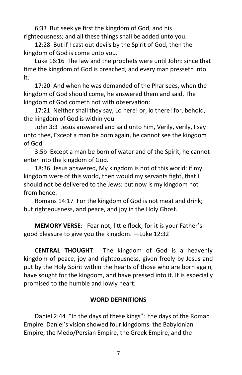6:33 But seek ye first the kingdom of God, and his righteousness; and all these things shall be added unto you.

12:28 But if I cast out devils by the Spirit of God, then the kingdom of God is come unto you.

Luke 16:16 The law and the prophets were until John: since that time the kingdom of God is preached, and every man presseth into it.

17:20 And when he was demanded of the Pharisees, when the kingdom of God should come, he answered them and said, The kingdom of God cometh not with observation:

17:21 Neither shall they say, Lo here! or, lo there! for, behold, the kingdom of God is within you.

John 3:3 Jesus answered and said unto him, Verily, verily, I say unto thee, Except a man be born again, he cannot see the kingdom of God.

3:5b Except a man be born of water and of the Spirit, he cannot enter into the kingdom of God.

18:36 Jesus answered, My kingdom is not of this world: if my kingdom were of this world, then would my servants fight, that I should not be delivered to the Jews: but now is my kingdom not from hence.

Romans 14:17 For the kingdom of God is not meat and drink; but righteousness, and peace, and joy in the Holy Ghost.

**MEMORY VERSE**: Fear not, little flock; for it is your Father's good pleasure to give you the kingdom. —Luke 12:32

**CENTRAL THOUGHT**: The kingdom of God is a heavenly kingdom of peace, joy and righteousness, given freely by Jesus and put by the Holy Spirit within the hearts of those who are born again, have sought for the kingdom, and have pressed into it. It is especially promised to the humble and lowly heart.

## **WORD DEFINITIONS**

Daniel 2:44 "In the days of these kings": the days of the Roman Empire. Daniel's vision showed four kingdoms: the Babylonian Empire, the Medo/Persian Empire, the Greek Empire, and the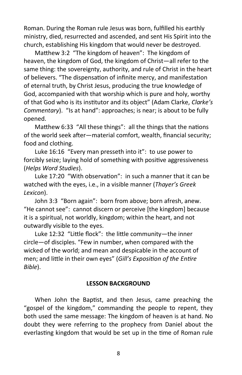Roman. During the Roman rule Jesus was born, fulfilled his earthly ministry, died, resurrected and ascended, and sent His Spirit into the church, establishing His kingdom that would never be destroyed.

Matthew 3:2 "The kingdom of heaven": The kingdom of heaven, the kingdom of God, the kingdom of Christ—all refer to the same thing: the sovereignty, authority, and rule of Christ in the heart of believers. "The dispensation of infinite mercy, and manifestation of eternal truth, by Christ Jesus, producing the true knowledge of God, accompanied with that worship which is pure and holy, worthy of that God who is its institutor and its object" (Adam Clarke, *Clarke's Commentary*). "Is at hand": approaches; is near; is about to be fully opened.

Matthew 6:33 "All these things": all the things that the nations of the world seek after—material comfort, wealth, financial security; food and clothing.

Luke 16:16 "Every man presseth into it": to use power to forcibly seize; laying hold of something with positive aggressiveness (*Helps Word Studies*).

Luke 17:20 "With observation": in such a manner that it can be watched with the eyes, i.e., in a visible manner (*Thayer's Greek Lexicon*).

John 3:3 "Born again": born from above; born afresh, anew. "He cannot see": cannot discern or perceive [the kingdom] because it is a spiritual, not worldly, kingdom; within the heart, and not outwardly visible to the eyes.

Luke 12:32 "Little flock": the little community—the inner circle—of disciples. "Few in number, when compared with the wicked of the world; and mean and despicable in the account of men; and little in their own eyes" (*Gill's Exposition of the Entire Bible*).

## **LESSON BACKGROUND**

When John the Baptist, and then Jesus, came preaching the "gospel of the kingdom," commanding the people to repent, they both used the same message: The kingdom of heaven is at hand. No doubt they were referring to the prophecy from Daniel about the everlasting kingdom that would be set up in the time of Roman rule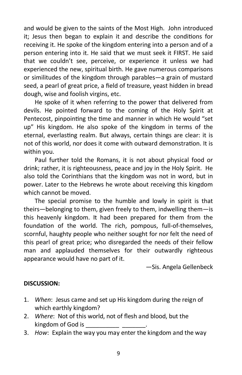and would be given to the saints of the Most High. John introduced it; Jesus then began to explain it and describe the conditions for receiving it. He spoke of the kingdom entering into a person and of a person entering into it. He said that we must seek it FIRST. He said that we couldn't see, perceive, or experience it unless we had experienced the new, spiritual birth. He gave numerous comparisons or similitudes of the kingdom through parables—a grain of mustard seed, a pearl of great price, a field of treasure, yeast hidden in bread dough, wise and foolish virgins, etc.

He spoke of it when referring to the power that delivered from devils. He pointed forward to the coming of the Holy Spirit at Pentecost, pinpointing the time and manner in which He would "set up" His kingdom. He also spoke of the kingdom in terms of the eternal, everlasting realm. But always, certain things are clear: it is not of this world, nor does it come with outward demonstration. It is within you.

Paul further told the Romans, it is not about physical food or drink; rather, it is righteousness, peace and joy in the Holy Spirit. He also told the Corinthians that the kingdom was not in word, but in power. Later to the Hebrews he wrote about receiving this kingdom which cannot be moved.

The special promise to the humble and lowly in spirit is that theirs—belonging to them, given freely to them, indwelling them—is this heavenly kingdom. It had been prepared for them from the foundation of the world. The rich, pompous, full-of-themselves, scornful, haughty people who neither sought for nor felt the need of this pearl of great price; who disregarded the needs of their fellow man and applauded themselves for their outwardly righteous appearance would have no part of it.

—Sis. Angela Gellenbeck

## **DISCUSSION:**

- 1. *When*: Jesus came and set up His kingdom during the reign of which earthly kingdom?
- 2. *Where*: Not of this world, not of flesh and blood, but the kingdom of God is
- 3. *How*: Explain the way you may enter the kingdom and the way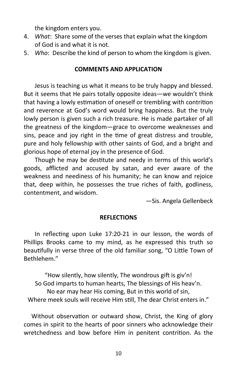the kingdom enters you.

- 4. *What*: Share some of the verses that explain what the kingdom of God is and what it is not.
- 5. *Who*: Describe the kind of person to whom the kingdom is given.

## **COMMENTS AND APPLICATION**

Jesus is teaching us what it means to be truly happy and blessed. But it seems that He pairs totally opposite ideas—we wouldn't think that having a lowly estimation of oneself or trembling with contrition and reverence at God's word would bring happiness. But the truly lowly person is given such a rich treasure. He is made partaker of all the greatness of the kingdom—grace to overcome weaknesses and sins, peace and joy right in the time of great distress and trouble, pure and holy fellowship with other saints of God, and a bright and glorious hope of eternal joy in the presence of God.

Though he may be destitute and needy in terms of this world's goods, afflicted and accused by satan, and ever aware of the weakness and neediness of his humanity; he can know and rejoice that, deep within, he possesses the true riches of faith, godliness, contentment, and wisdom.

—Sis. Angela Gellenbeck

## **REFLECTIONS**

In reflecting upon Luke 17:20-21 in our lesson, the words of Phillips Brooks came to my mind, as he expressed this truth so beautifully in verse three of the old familiar song, "O Little Town of Bethlehem."

"How silently, how silently, The wondrous gift is giv'n! So God imparts to human hearts, The blessings of His heav'n. No ear may hear His coming, But in this world of sin, Where meek souls will receive Him still, The dear Christ enters in."

 Without observation or outward show, Christ, the King of glory comes in spirit to the hearts of poor sinners who acknowledge their wretchedness and bow before Him in penitent contrition. As the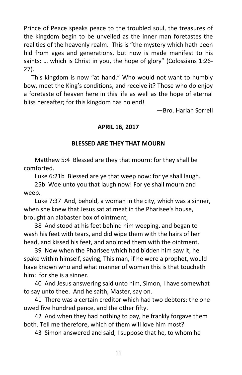Prince of Peace speaks peace to the troubled soul, the treasures of the kingdom begin to be unveiled as the inner man foretastes the realities of the heavenly realm. This is "the mystery which hath been hid from ages and generations, but now is made manifest to his saints: … which is Christ in you, the hope of glory" (Colossians 1:26- 27).

 This kingdom is now "at hand." Who would not want to humbly bow, meet the King's conditions, and receive it? Those who do enjoy a foretaste of heaven here in this life as well as the hope of eternal bliss hereafter; for this kingdom has no end!

—Bro. Harlan Sorrell

## **APRIL 16, 2017**

## **BLESSED ARE THEY THAT MOURN**

Matthew 5:4 Blessed are they that mourn: for they shall be comforted.

Luke 6:21b Blessed are ye that weep now: for ye shall laugh.

25b Woe unto you that laugh now! For ye shall mourn and weep.

Luke 7:37 And, behold, a woman in the city, which was a sinner, when she knew that Jesus sat at meat in the Pharisee's house, brought an alabaster box of ointment,

38 And stood at his feet behind him weeping, and began to wash his feet with tears, and did wipe them with the hairs of her head, and kissed his feet, and anointed them with the ointment.

39 Now when the Pharisee which had bidden him saw it, he spake within himself, saying, This man, if he were a prophet, would have known who and what manner of woman this is that toucheth him: for she is a sinner.

40 And Jesus answering said unto him, Simon, I have somewhat to say unto thee. And he saith, Master, say on.

41 There was a certain creditor which had two debtors: the one owed five hundred pence, and the other fifty.

42 And when they had nothing to pay, he frankly forgave them both. Tell me therefore, which of them will love him most?

43 Simon answered and said, I suppose that he, to whom he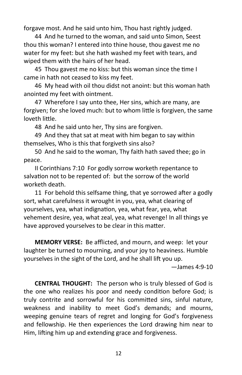forgave most. And he said unto him, Thou hast rightly judged.

44 And he turned to the woman, and said unto Simon, Seest thou this woman? I entered into thine house, thou gavest me no water for my feet: but she hath washed my feet with tears, and wiped them with the hairs of her head.

45 Thou gavest me no kiss: but this woman since the time I came in hath not ceased to kiss my feet.

46 My head with oil thou didst not anoint: but this woman hath anointed my feet with ointment.

47 Wherefore I say unto thee, Her sins, which are many, are forgiven; for she loved much: but to whom little is forgiven, the same loveth little.

48 And he said unto her, Thy sins are forgiven.

49 And they that sat at meat with him began to say within themselves, Who is this that forgiveth sins also?

50 And he said to the woman, Thy faith hath saved thee; go in peace.

II Corinthians 7:10 For godly sorrow worketh repentance to salvation not to be repented of: but the sorrow of the world worketh death.

11 For behold this selfsame thing, that ye sorrowed after a godly sort, what carefulness it wrought in you, yea, what clearing of yourselves, yea, what indignation, yea, what fear, yea, what vehement desire, yea, what zeal, yea, what revenge! In all things ye have approved yourselves to be clear in this matter.

**MEMORY VERSE:** Be afflicted, and mourn, and weep: let your laughter be turned to mourning, and your joy to heaviness. Humble yourselves in the sight of the Lord, and he shall lift you up.

 $-$ James 4:9-10

**CENTRAL THOUGHT:** The person who is truly blessed of God is the one who realizes his poor and needy condition before God; is truly contrite and sorrowful for his committed sins, sinful nature, weakness and inability to meet God's demands; and mourns, weeping genuine tears of regret and longing for God's forgiveness and fellowship. He then experiences the Lord drawing him near to Him, lifting him up and extending grace and forgiveness.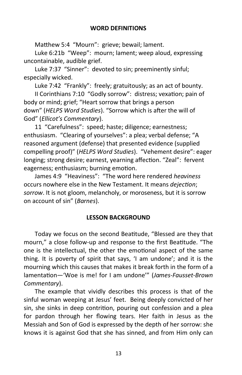Matthew 5:4 "Mourn": grieve; bewail; lament.

Luke 6:21b "Weep": mourn; lament; weep aloud, expressing uncontainable, audible grief.

Luke 7:37 "Sinner": devoted to sin; preeminently sinful; especially wicked.

Luke 7:42 "Frankly": freely; gratuitously; as an act of bounty.

II Corinthians 7:10 "Godly sorrow": distress; vexation; pain of body or mind; grief; "Heart sorrow that brings a person down" (*HELPS Word Studies*). "Sorrow which is after the will of God" (*Ellicot's Commentary*).

11 "Carefulness": speed; haste; diligence; earnestness; enthusiasm. "Clearing of yourselves": a plea; verbal defense; "A reasoned argument (defense) that presented evidence (supplied compelling proof)" (*HELPS Word Studies*). "Vehement desire": eager longing; strong desire; earnest, yearning affection. "Zeal": fervent eagerness; enthusiasm; burning emotion.

James 4:9 "Heaviness": "The word here rendered *heaviness*  occurs nowhere else in the New Testament. It means *dejection*; *sorrow*. It is not gloom, melancholy, or moroseness, but it is sorrow on account of sin" (*Barnes*).

## **LESSON BACKGROUND**

Today we focus on the second Beatitude, "Blessed are they that mourn," a close follow-up and response to the first Beatitude. "The one is the intellectual, the other the emotional aspect of the same thing. It is poverty of spirit that says, 'I am undone'; and it is the mourning which this causes that makes it break forth in the form of a lamentation—'Woe is me! for I am undone'" (*James-Fausset-Brown Commentary*).

The example that vividly describes this process is that of the sinful woman weeping at Jesus' feet. Being deeply convicted of her sin, she sinks in deep contrition, pouring out confession and a plea for pardon through her flowing tears. Her faith in Jesus as the Messiah and Son of God is expressed by the depth of her sorrow: she knows it is against God that she has sinned, and from Him only can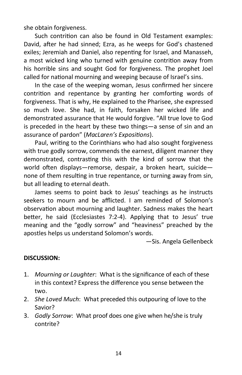she obtain forgiveness.

Such contrition can also be found in Old Testament examples: David, after he had sinned; Ezra, as he weeps for God's chastened exiles; Jeremiah and Daniel, also repenting for Israel, and Manasseh, a most wicked king who turned with genuine contrition away from his horrible sins and sought God for forgiveness. The prophet Joel called for national mourning and weeping because of Israel's sins.

In the case of the weeping woman, Jesus confirmed her sincere contrition and repentance by granting her comforting words of forgiveness. That is why, He explained to the Pharisee, she expressed so much love. She had, in faith, forsaken her wicked life and demonstrated assurance that He would forgive. "All true love to God is preceded in the heart by these two things—a sense of sin and an assurance of pardon" (*MacLaren's Expositions*).

Paul, writing to the Corinthians who had also sought forgiveness with true godly sorrow, commends the earnest, diligent manner they demonstrated, contrasting this with the kind of sorrow that the world often displays—remorse, despair, a broken heart, suicide none of them resulting in true repentance, or turning away from sin, but all leading to eternal death.

James seems to point back to Jesus' teachings as he instructs seekers to mourn and be afflicted. I am reminded of Solomon's observation about mourning and laughter. Sadness makes the heart better, he said (Ecclesiastes 7:2-4). Applying that to Jesus' true meaning and the "godly sorrow" and "heaviness" preached by the apostles helps us understand Solomon's words.

—Sis. Angela Gellenbeck

## **DISCUSSION:**

- 1. *Mourning or Laughter*: What is the significance of each of these in this context? Express the difference you sense between the two.
- 2. *She Loved Much*: What preceded this outpouring of love to the Savior?
- 3. *Godly Sorrow*: What proof does one give when he/she is truly contrite?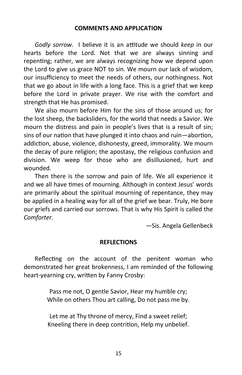## **COMMENTS AND APPLICATION**

*Godly sorrow*. I believe it is an attitude we should *keep* in our hearts before the Lord. Not that we are always sinning and repenting; rather, we are always recognizing how we depend upon the Lord to give us grace NOT to sin. We mourn our lack of wisdom, our insufficiency to meet the needs of others, our nothingness. Not that we go about in life with a long face. This is a grief that we keep before the Lord in private prayer. We rise with the comfort and strength that He has promised.

We also mourn before Him for the sins of those around us; for the lost sheep, the backsliders, for the world that needs a Savior. We mourn the distress and pain in people's lives that is a result of sin; sins of our nation that have plunged it into chaos and ruin—abortion, addiction, abuse, violence, dishonesty, greed, immorality. We mourn the decay of pure religion; the apostasy, the religious confusion and division. We weep for those who are disillusioned, hurt and wounded.

Then there is the sorrow and pain of life. We all experience it and we all have times of mourning. Although in context Jesus' words are primarily about the spiritual mourning of repentance, they may be applied in a healing way for all of the grief we bear. Truly, He bore our griefs and carried our sorrows. That is why His Spirit is called the *Comforter.*

*—*Sis. Angela Gellenbeck

## **REFLECTIONS**

Reflecting on the account of the penitent woman who demonstrated her great brokenness, I am reminded of the following heart-yearning cry, written by Fanny Crosby:

> Pass me not, O gentle Savior, Hear my humble cry; While on others Thou art calling, Do not pass me by.

> Let me at Thy throne of mercy, Find a sweet relief; Kneeling there in deep contrition, Help my unbelief.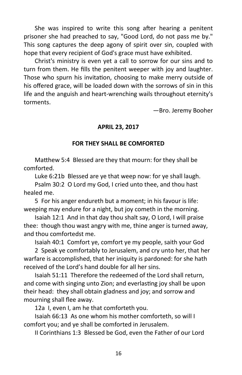She was inspired to write this song after hearing a penitent prisoner she had preached to say, "Good Lord, do not pass me by." This song captures the deep agony of spirit over sin, coupled with hope that every recipient of God's grace must have exhibited.

Christ's ministry is even yet a call to sorrow for our sins and to turn from them. He fills the penitent weeper with joy and laughter. Those who spurn his invitation, choosing to make merry outside of his offered grace, will be loaded down with the sorrows of sin in this life and the anguish and heart-wrenching wails throughout eternity's torments.

—Bro. Jeremy Booher

## **APRIL 23, 2017**

## **FOR THEY SHALL BE COMFORTED**

Matthew 5:4 Blessed are they that mourn: for they shall be comforted.

Luke 6:21b Blessed are ye that weep now: for ye shall laugh.

Psalm 30:2 O Lord my God, I cried unto thee, and thou hast healed me.

5 For his anger endureth but a moment; in his favour is life: weeping may endure for a night, but joy cometh in the morning.

Isaiah 12:1 And in that day thou shalt say, O Lord, I will praise thee: though thou wast angry with me, thine anger is turned away, and thou comfortedst me.

Isaiah 40:1 Comfort ye, comfort ye my people, saith your God

2 Speak ye comfortably to Jerusalem, and cry unto her, that her warfare is accomplished, that her iniquity is pardoned: for she hath received of the Lord's hand double for all her sins.

Isaiah 51:11 Therefore the redeemed of the Lord shall return, and come with singing unto Zion; and everlasting joy shall be upon their head: they shall obtain gladness and joy; and sorrow and mourning shall flee away.

12a I, even I, am he that comforteth you.

Isaiah 66:13 As one whom his mother comforteth, so will I comfort you; and ye shall be comforted in Jerusalem.

II Corinthians 1:3 Blessed be God, even the Father of our Lord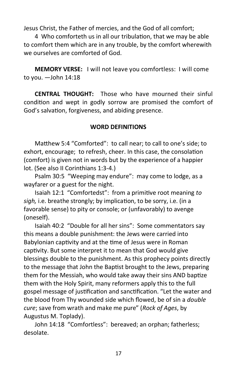Jesus Christ, the Father of mercies, and the God of all comfort;

4 Who comforteth us in all our tribulation, that we may be able to comfort them which are in any trouble, by the comfort wherewith we ourselves are comforted of God.

**MEMORY VERSE:** I will not leave you comfortless: I will come to you. —John 14:18

**CENTRAL THOUGHT:** Those who have mourned their sinful condition and wept in godly sorrow are promised the comfort of God's salvation, forgiveness, and abiding presence.

## **WORD DEFINITIONS**

Matthew 5:4 "Comforted": to call near; to call to one's side; to exhort, encourage; to refresh, cheer. In this case, the consolation (comfort) is given not in words but by the experience of a happier lot. (See also II Corinthians 1:3-4.)

Psalm 30:5 "Weeping may endure": may come to lodge, as a wayfarer or a guest for the night.

Isaiah 12:1 "Comfortedst": from a primitive root meaning *to sigh,* i.e. breathe strongly; by implication, to be sorry, i.e. (in a favorable sense) to pity or console; or (unfavorably) to avenge (oneself).

Isaiah 40:2 "Double for all her sins": Some commentators say this means a double punishment: the Jews were carried into Babylonian captivity and at the time of Jesus were in Roman captivity. But some interpret it to mean that God would give blessings double to the punishment. As this prophecy points directly to the message that John the Baptist brought to the Jews, preparing them for the Messiah, who would take away their sins AND baptize them with the Holy Spirit, many reformers apply this to the full gospel message of justification and sanctification. "Let the water and the blood from Thy wounded side which flowed, be of sin a *double cure*; save from wrath and make me pure" (*Rock of Ages*, by Augustus M. Toplady).

John 14:18 "Comfortless": bereaved; an orphan; fatherless; desolate.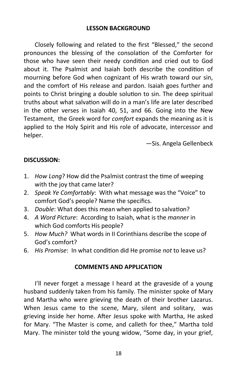Closely following and related to the first "Blessed," the second pronounces the blessing of the consolation of the Comforter for those who have seen their needy condition and cried out to God about it. The Psalmist and Isaiah both describe the condition of mourning before God when cognizant of His wrath toward our sin, and the comfort of His release and pardon. Isaiah goes further and points to Christ bringing a double solution to sin. The deep spiritual truths about what salvation will do in a man's life are later described in the other verses in Isaiah 40, 51, and 66. Going into the New Testament, the Greek word for *comfort* expands the meaning as it is applied to the Holy Spirit and His role of advocate, intercessor and helper.

—Sis. Angela Gellenbeck

## **DISCUSSION:**

- 1. *How Long*? How did the Psalmist contrast the time of weeping with the joy that came later?
- 2. *Speak Ye Comfortably*: With what message was the "Voice" to comfort God's people? Name the specifics.
- 3. *Double*: What does this mean when applied to salvation?
- 4. *A Word Picture*: According to Isaiah, what is the *manner* in which God comforts His people?
- 5. *How Much?* What words in II Corinthians describe the scope of God's comfort?
- 6. *His Promise*: In what condition did He promise *not* to leave us?

## **COMMENTS AND APPLICATION**

I'll never forget a message I heard at the graveside of a young husband suddenly taken from his family. The minister spoke of Mary and Martha who were grieving the death of their brother Lazarus. When Jesus came to the scene, Mary, silent and solitary, was grieving inside her home. After Jesus spoke with Martha, He asked for Mary. "The Master is come, and calleth for thee," Martha told Mary. The minister told the young widow, "Some day, in your grief,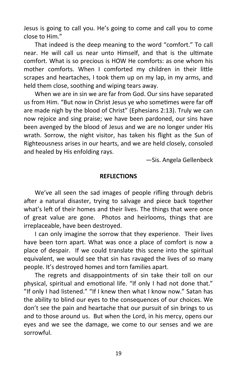Jesus is going to call you. He's going to come and call you to come close to Him."

That indeed is the deep meaning to the word "comfort." To call near. He will call us near unto Himself, and that is the ultimate comfort. What is so precious is HOW He comforts: as one whom his mother comforts. When I comforted my children in their little scrapes and heartaches, I took them up on my lap, in my arms, and held them close, soothing and wiping tears away.

When we are in sin we are far from God. Our sins have separated us from Him. "But now in Christ Jesus ye who sometimes were far off are made nigh by the blood of Christ" (Ephesians 2:13). Truly we can now rejoice and sing praise; we have been pardoned, our sins have been avenged by the blood of Jesus and we are no longer under His wrath. Sorrow, the night visitor, has taken his flight as the Sun of Righteousness arises in our hearts, and we are held closely, consoled and healed by His enfolding rays.

—Sis. Angela Gellenbeck

## **REFLECTIONS**

We've all seen the sad images of people rifling through debris after a natural disaster, trying to salvage and piece back together what's left of their homes and their lives. The things that were once of great value are gone. Photos and heirlooms, things that are irreplaceable, have been destroyed.

I can only imagine the sorrow that they experience. Their lives have been torn apart. What was once a place of comfort is now a place of despair. If we could translate this scene into the spiritual equivalent, we would see that sin has ravaged the lives of so many people. It's destroyed homes and torn families apart.

The regrets and disappointments of sin take their toll on our physical, spiritual and emotional life. "If only I had not done that." "If only I had listened." "If I knew then what I know now." Satan has the ability to blind our eyes to the consequences of our choices. We don't see the pain and heartache that our pursuit of sin brings to us and to those around us. But when the Lord, in his mercy, opens our eyes and we see the damage, we come to our senses and we are sorrowful.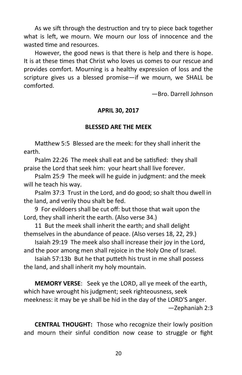As we sift through the destruction and try to piece back together what is left, we mourn. We mourn our loss of innocence and the wasted time and resources.

However, the good news is that there is help and there is hope. It is at these times that Christ who loves us comes to our rescue and provides comfort. Mourning is a healthy expression of loss and the scripture gives us a blessed promise—if we mourn, we SHALL be comforted.

—Bro. Darrell Johnson

## **APRIL 30, 2017**

## **BLESSED ARE THE MEEK**

Matthew 5:5 Blessed are the meek: for they shall inherit the earth.

Psalm 22:26 The meek shall eat and be satisfied: they shall praise the Lord that seek him: your heart shall live forever.

Psalm 25:9 The meek will he guide in judgment: and the meek will he teach his way.

Psalm 37:3 Trust in the Lord, and do good; so shalt thou dwell in the land, and verily thou shalt be fed.

9 For evildoers shall be cut off: but those that wait upon the Lord, they shall inherit the earth. (Also verse 34.)

11 But the meek shall inherit the earth; and shall delight themselves in the abundance of peace. (Also verses 18, 22, 29.)

Isaiah 29:19 The meek also shall increase their joy in the Lord, and the poor among men shall rejoice in the Holy One of Israel.

Isaiah 57:13b But he that putteth his trust in me shall possess the land, and shall inherit my holy mountain.

**MEMORY VERSE**: Seek ye the LORD, all ye meek of the earth, which have wrought his judgment; seek righteousness, seek meekness: it may be ye shall be hid in the day of the LORD'S anger. —Zephaniah 2:3

**CENTRAL THOUGHT:** Those who recognize their lowly position and mourn their sinful condition now cease to struggle or fight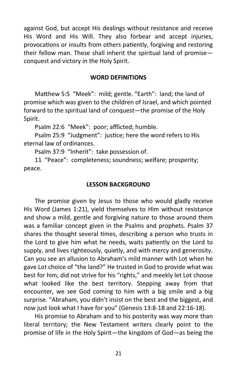against God, but accept His dealings without resistance and receive His Word and His Will. They also forbear and accept injuries, provocations or insults from others patiently, forgiving and restoring their fellow man. These shall inherit the spiritual land of promise conquest and victory in the Holy Spirit.

## **WORD DEFINITIONS**

Matthew 5:5 "Meek": mild; gentle. "Earth": land; the land of promise which was given to the children of Israel, and which pointed forward to the spiritual land of conquest—the promise of the Holy Spirit.

Psalm 22:6 "Meek": poor; afflicted; humble.

Psalm 25:9 "Judgment": justice; here the word refers to His eternal law of ordinances.

Psalm 37:9 "Inherit": take possession of.

11 "Peace": completeness; soundness; welfare; prosperity; peace.

## **LESSON BACKGROUND**

The promise given by Jesus to those who would gladly receive His Word (James 1:21), yield themselves to Him without resistance and show a mild, gentle and forgiving nature to those around them was a familiar concept given in the Psalms and prophets. Psalm 37 shares the thought several times, describing a person who trusts in the Lord to give him what he needs, waits patiently on the Lord to supply, and lives righteously, quietly, and with mercy and generosity. Can you see an allusion to Abraham's mild manner with Lot when he gave Lot choice of "the land?" He trusted in God to provide what was best for him, did not strive for his "rights," and meekly let Lot choose what looked like the best territory. Stepping away from that encounter, we see God coming to him with a big smile and a big surprise. "Abraham, you didn't insist on the best and the biggest, and now just look what I have for you" (Genesis 13:8-18 and 22:16-18).

His promise to Abraham and to his posterity was way more than literal territory; the New Testament writers clearly point to the promise of life in the Holy Spirit—the kingdom of God—as being the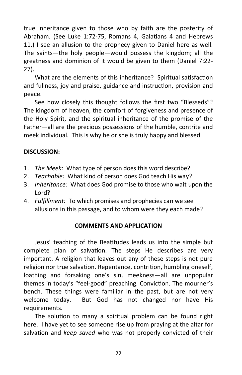true inheritance given to those who by faith are the posterity of Abraham. (See Luke 1:72-75, Romans 4, Galatians 4 and Hebrews 11.) I see an allusion to the prophecy given to Daniel here as well. The saints—the holy people—would possess the kingdom; all the greatness and dominion of it would be given to them (Daniel 7:22- 27).

What are the elements of this inheritance? Spiritual satisfaction and fullness, joy and praise, guidance and instruction, provision and peace.

See how closely this thought follows the first two "Blesseds"? The kingdom of heaven, the comfort of forgiveness and presence of the Holy Spirit, and the spiritual inheritance of the promise of the Father—all are the precious possessions of the humble, contrite and meek individual. This is why he or she is truly happy and blessed.

## **DISCUSSION:**

- 1. *The Meek:* What type of person does this word describe?
- 2. *Teachable:* What kind of person does God teach His way?
- 3. *Inheritance:* What does God promise to those who wait upon the Lord?
- 4. *Fulfillment:* To which promises and prophecies can we see allusions in this passage, and to whom were they each made?

## **COMMENTS AND APPLICATION**

Jesus' teaching of the Beatitudes leads us into the simple but complete plan of salvation. The steps He describes are very important. A religion that leaves out any of these steps is not pure religion nor true salvation. Repentance, contrition, humbling oneself, loathing and forsaking one's sin, meekness—all are unpopular themes in today's "feel-good" preaching. Conviction. The mourner's bench. These things were familiar in the past, but are not very welcome today. But God has not changed nor have His requirements.

The solution to many a spiritual problem can be found right here. I have yet to see someone rise up from praying at the altar for salvation and *keep saved* who was not properly convicted of their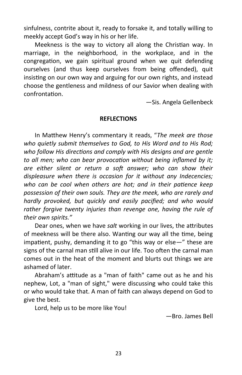sinfulness, contrite about it, ready to forsake it, and totally willing to meekly accept God's way in his or her life.

Meekness is the way to victory all along the Christian way. In marriage, in the neighborhood, in the workplace, and in the congregation, we gain spiritual ground when we quit defending ourselves (and thus keep ourselves from being offended), quit insisting on our own way and arguing for our own rights, and instead choose the gentleness and mildness of our Savior when dealing with confrontation.

—Sis. Angela Gellenbeck

## **REFLECTIONS**

In Matthew Henry's commentary it reads, "*The meek are those who quietly submit themselves to God, to His Word and to His Rod; who follow His directions and comply with His designs and are gentle to all men; who can bear provocation without being inflamed by it; are either silent or return a soft answer; who can show their displeasure when there is occasion for it without any Indecencies; who can be cool when others are hot; and in their patience keep possession of their own souls. They are the meek, who are rarely and hardly provoked, but quickly and easily pacified; and who would rather forgive twenty injuries than revenge one, having the rule of their own spirits."*

Dear ones, when we have *salt* working in our lives, the attributes of meekness will be there also. Wanting our way all the time, being impatient, pushy, demanding it to go "this way or else—" these are signs of the carnal man still alive in our life. Too often the carnal man comes out in the heat of the moment and blurts out things we are ashamed of later.

Abraham's attitude as a "man of faith" came out as he and his nephew, Lot, a "man of sight," were discussing who could take this or who would take that. A man of faith can always depend on God to give the best.

Lord, help us to be more like You!

—Bro. James Bell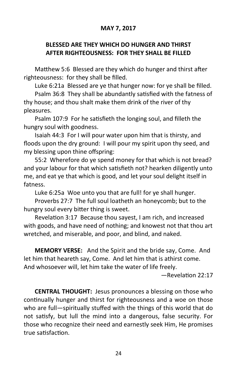## **MAY 7, 2017**

## **BLESSED ARE THEY WHICH DO HUNGER AND THIRST AFTER RIGHTEOUSNESS: FOR THEY SHALL BE FILLED**

Matthew 5:6 Blessed are they which do hunger and thirst after righteousness: for they shall be filled.

Luke 6:21a Blessed are ye that hunger now: for ye shall be filled.

Psalm 36:8 They shall be abundantly satisfied with the fatness of thy house; and thou shalt make them drink of the river of thy pleasures.

Psalm 107:9 For he satisfieth the longing soul, and filleth the hungry soul with goodness.

Isaiah 44:3 For I will pour water upon him that is thirsty, and floods upon the dry ground: I will pour my spirit upon thy seed, and my blessing upon thine offspring:

55:2 Wherefore do ye spend money for that which is not bread? and your labour for that which satisfieth not? hearken diligently unto me, and eat ye that which is good, and let your soul delight itself in fatness.

Luke 6:25a Woe unto you that are full! for ye shall hunger.

Proverbs 27:7 The full soul loatheth an honeycomb; but to the hungry soul every bitter thing is sweet.

Revelation 3:17 Because thou sayest, I am rich, and increased with goods, and have need of nothing; and knowest not that thou art wretched, and miserable, and poor, and blind, and naked.

**MEMORY VERSE:** And the Spirit and the bride say, Come. And let him that heareth say, Come. And let him that is athirst come. And whosoever will, let him take the water of life freely.

—Revelation 22:17

**CENTRAL THOUGHT:** Jesus pronounces a blessing on those who continually hunger and thirst for righteousness and a woe on those who are full—spiritually stuffed with the things of this world that do not satisfy, but lull the mind into a dangerous, false security. For those who recognize their need and earnestly seek Him, He promises true satisfaction.

24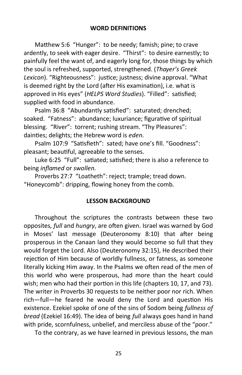Matthew 5:6 "Hunger": to be needy; famish; pine; to crave ardently, to seek with eager desire. "Thirst": to desire earnestly; to painfully feel the want of, and eagerly long for, those things by which the soul is refreshed, supported, strengthened. (*Thayer's Greek Lexicon*). "Righteousness": justice; justness; divine approval. "What is deemed right by the Lord (after His examination), i.e. what is approved in His eyes" (*HELPS Word Studies*). "Filled": satisfied; supplied with food in abundance.

Psalm 36:8 "Abundantly satisfied": saturated; drenched; soaked. "Fatness": abundance; luxuriance; figurative of spiritual blessing. "River": torrent; rushing stream. "Thy Pleasures": dainties; delights; the Hebrew word is *eden.*

Psalm 107:9 "Satisfieth": sated; have one's fill. "Goodness": pleasant; beautiful, agreeable to the senses.

Luke 6:25 "Full": satiated; satisfied; there is also a reference to being *inflamed* or *swollen.*

Proverbs 27:7 "Loatheth": reject; trample; tread down. "Honeycomb": dripping, flowing honey from the comb.

## **LESSON BACKGROUND**

Throughout the scriptures the contrasts between these two opposites*, full* and *hungry*, are often given. Israel was warned by God in Moses' last message (Deuteronomy 8:10) that after being prosperous in the Canaan land they would become so full that they would forget the Lord. Also (Deuteronomy 32:15), He described their rejection of Him because of worldly fullness, or fatness, as someone literally kicking Him away. In the Psalms we often read of the men of this world who were prosperous, had more than the heart could wish; men who had their portion in this life (chapters 10, 17, and 73). The writer in Proverbs 30 requests to be neither poor nor rich. When rich—full—he feared he would deny the Lord and question His existence. Ezekiel spoke of one of the sins of Sodom being *fullness of bread* (Ezekiel 16:49). The idea of being *full* always goes hand in hand with pride, scornfulness, unbelief, and merciless abuse of the "poor."

To the contrary, as we have learned in previous lessons, the man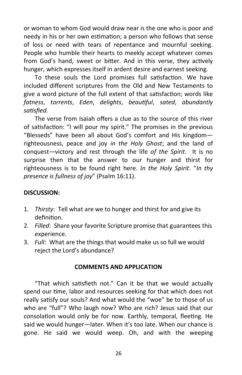or woman to whom God would draw near is the one who is poor and needy in his or her own estimation; a person who follows that sense of loss or need with tears of repentance and mournful seeking. People who humble their hearts to meekly accept whatever comes from God's hand, sweet or bitter. And in this verse, they actively hunger, which expresses itself in ardent desire and earnest seeking.

To these souls the Lord promises full satisfaction. We have included different scriptures from the Old and New Testaments to give a word picture of the full extent of that satisfaction; words like *fatness*, *torrents*, *Eden*, *delights*, *beautiful*, *sated*, *abundantly satisfied.* 

The verse from Isaiah offers a clue as to the source of this river of satisfaction: "I will pour my spirit." The promises in the previous "Blesseds" have been all about God's comfort and His kingdom righteousness, peace and joy *in the Holy Ghost*; and the land of conquest—victory and rest through the life *of the Spirit*. It is no surprise then that the answer to our hunger and thirst for righteousness is to be found right here. *In the Holy Spirit*. "*In thy presence is fullness of joy*" (Psalm 16:11).

## **DISCUSSION:**

- 1. *Thirsty*: Tell what are we to hunger and thirst for and give its definition.
- 2. *Filled*: Share your favorite Scripture promise that guarantees this experience.
- 3. *Full*: What are the things that would make us so full we would reject the Lord's abundance?

## **COMMENTS AND APPLICATION**

"That which satisfieth not." Can it be that we would actually spend our time, labor and resources seeking for that which does not really satisfy our souls? And what would the "woe" be to those of us who are "full"? Who laugh now? Who are rich? Jesus said that our consolation would only be for now. Earthly, temporal, fleeting. He said we would hunger—later. When it's too late. When our chance is gone. He said we would weep. Oh, and with the weeping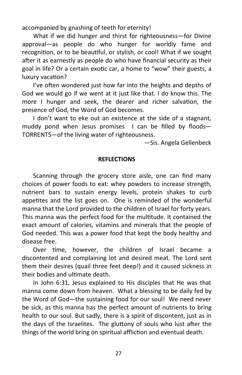accompanied by gnashing of teeth for eternity!

What if we did hunger and thirst for righteousness—for Divine approval—as people do who hunger for worldly fame and recognition, or to be beautiful, or stylish, or cool! What if we sought after it as earnestly as people do who have financial security as their goal in life? Or a certain exotic car, a home to "wow" their guests, a luxury vacation?

I've often wondered just how far into the heights and depths of God we would go if we went at it just like that. I do know this. The more I hunger and seek, the dearer and richer salvation, the presence of God, the Word of God becomes.

I don't want to eke out an existence at the side of a stagnant, muddy pond when Jesus promises I can be filled by floods— TORRENTS—of the living water of righteousness.

—Sis. Angela Gellenbeck

#### **REFLECTIONS**

Scanning through the grocery store aisle, one can find many choices of power foods to eat: whey powders to increase strength, nutrient bars to sustain energy levels, protein shakes to curb appetites and the list goes on. One is reminded of the wonderful manna that the Lord provided to the children of Israel for forty years. This manna was the perfect food for the multitude. It contained the exact amount of calories, vitamins and minerals that the people of God needed. This was a power food that kept the body healthy and disease free.

Over time, however, the children of Israel became a discontented and complaining lot and desired meat. The Lord sent them their desires (quail three feet deep!) and it caused sickness in their bodies and ultimate death.

In John 6:31, Jesus explained to His disciples that He was that manna come down from heaven. What a blessing to be daily fed by the Word of God—the sustaining food for our soul! We need never be sick, as this manna has the perfect amount of nutrients to bring health to our soul. But sadly, there is a spirit of discontent, just as in the days of the Israelites. The gluttony of souls who lust after the things of the world bring on spiritual affliction and eventual death.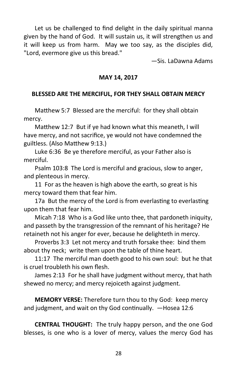Let us be challenged to find delight in the daily spiritual manna given by the hand of God. It will sustain us, it will strengthen us and it will keep us from harm. May we too say, as the disciples did, "Lord, evermore give us this bread."

—Sis. LaDawna Adams

## **MAY 14, 2017**

## **BLESSED ARE THE MERCIFUL, FOR THEY SHALL OBTAIN MERCY**

Matthew 5:7 Blessed are the merciful: for they shall obtain mercy.

Matthew 12:7 But if ye had known what this meaneth, I will have mercy, and not sacrifice, ye would not have condemned the guiltless. (Also Matthew 9:13.)

Luke 6:36 Be ye therefore merciful, as your Father also is merciful.

Psalm 103:8 The Lord is merciful and gracious, slow to anger, and plenteous in mercy.

11 For as the heaven is high above the earth, so great is his mercy toward them that fear him.

17a But the mercy of the Lord is from everlasting to everlasting upon them that fear him.

Micah 7:18 Who is a God like unto thee, that pardoneth iniquity, and passeth by the transgression of the remnant of his heritage? He retaineth not his anger for ever, because he delighteth in mercy.

Proverbs 3:3 Let not mercy and truth forsake thee: bind them about thy neck; write them upon the table of thine heart.

11:17 The merciful man doeth good to his own soul: but he that is cruel troubleth his own flesh.

James 2:13 For he shall have judgment without mercy, that hath shewed no mercy; and mercy rejoiceth against judgment.

**MEMORY VERSE:** Therefore turn thou to thy God: keep mercy and judgment, and wait on thy God continually. —Hosea 12:6

**CENTRAL THOUGHT:** The truly happy person, and the one God blesses, is one who is a lover of mercy, values the mercy God has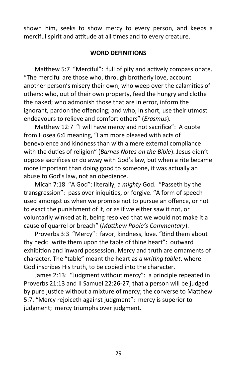shown him, seeks to show mercy to every person, and keeps a merciful spirit and attitude at all times and to every creature.

## **WORD DEFINITIONS**

Matthew 5:7 "Merciful": full of pity and actively compassionate. "The merciful are those who, through brotherly love, account another person's misery their own; who weep over the calamities of others; who, out of their own property, feed the hungry and clothe the naked; who admonish those that are in error, inform the ignorant, pardon the offending; and who, in short, use their utmost endeavours to relieve and comfort others" (*Erasmus*)*.*

Matthew 12:7 "I will have mercy and not sacrifice": A quote from Hosea 6:6 meaning, "I am more pleased with acts of benevolence and kindness than with a mere external compliance with the duties of religion" (*Barnes Notes on the Bible*). Jesus didn't oppose sacrifices or do away with God's law, but when a rite became more important than doing good to someone, it was actually an abuse to God's law, not an obedience.

Micah 7:18 "A God": literally, a *mighty* God. "Passeth by the transgression": pass over iniquities, or forgive. "A form of speech used amongst us when we promise not to pursue an offence, or not to exact the punishment of it, or as if we either saw it not, or voluntarily winked at it, being resolved that we would not make it a cause of quarrel or breach" (*Matthew Poole's Commentary*).

Proverbs 3:3 "Mercy": favor, kindness, love. "Bind them about thy neck: write them upon the table of thine heart": outward exhibition and inward possession. Mercy and truth are ornaments of character. The "table" meant the heart as *a writing tablet*, where God inscribes His truth, to be copied into the character.

James 2:13: "Judgment without mercy": a principle repeated in Proverbs 21:13 and II Samuel 22:26-27, that a person will be judged by pure justice without a mixture of mercy; the converse to Matthew 5:7. "Mercy rejoiceth against judgment": mercy is superior to judgment; mercy triumphs over judgment.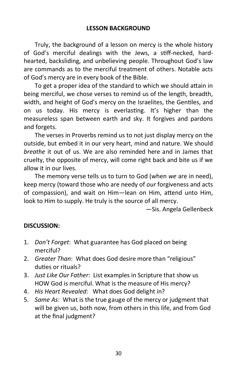Truly, the background of a lesson on mercy is the whole history of God's merciful dealings with the Jews, a stiff-necked, hardhearted, backsliding, and unbelieving people. Throughout God's law are commands as to the merciful treatment of others. Notable acts of God's mercy are in every book of the Bible.

To get a proper idea of the standard to which we should attain in being merciful, we chose verses to remind us of the length, breadth, width, and height of God's mercy on the Israelites, the Gentiles, and on us today. His mercy is everlasting. It's higher than the measureless span between earth and sky. It forgives and pardons and forgets.

The verses in Proverbs remind us to not just display mercy on the outside, but embed it in our very heart, mind and nature. We should *breathe* it out of us. We are also reminded here and in James that cruelty, the opposite of mercy, will come right back and bite us if we allow it in our lives.

The memory verse tells us to turn to God (when *we* are in need), keep mercy (toward those who are needy of *our* forgiveness and acts of compassion), and wait on Him—lean on Him, attend unto Him, look to Him to supply. He truly is the source of all mercy.

—Sis. Angela Gellenbeck

## **DISCUSSION:**

- 1. *Don't Forget*: What guarantee has God placed on being merciful?
- 2. *Greater Than*: What does God desire more than "religious" duties or rituals?
- 3. *Just Like Our Father*: List examples in Scripture that show us HOW God is merciful. What is the measure of His mercy?
- 4. *His Heart Revealed*: What does God delight in?
- 5. *Same As*: What is the true gauge of the mercy or judgment that will be given us, both now, from others in this life, and from God at the final judgment?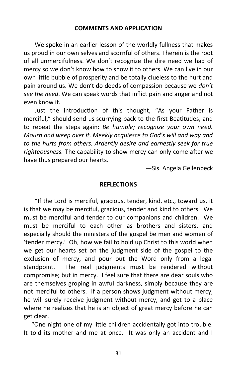## **COMMENTS AND APPLICATION**

We spoke in an earlier lesson of the worldly fullness that makes us proud in our own selves and scornful of others. Therein is the root of all unmercifulness. We don't recognize the dire need we had of mercy so we don't know how to show it to others. We can live in our own little bubble of prosperity and be totally clueless to the hurt and pain around us. We don't do deeds of compassion because we *don't see the need*. We can speak words that inflict pain and anger and not even know it.

Just the introduction of this thought, "As your Father is merciful," should send us scurrying back to the first Beatitudes, and to repeat the steps again: *Be humble; recognize your own need. Mourn and weep over it. Meekly acquiesce to God's will and way and to the hurts from others. Ardently desire and earnestly seek for true righteousness.* The capability to show mercy can only come after we have thus prepared our hearts.

—Sis. Angela Gellenbeck

#### **REFLECTIONS**

"If the Lord is merciful, gracious, tender, kind, etc., toward us, it is that we may be merciful, gracious, tender and kind to others. We must be merciful and tender to our companions and children. We must be merciful to each other as brothers and sisters, and especially should the ministers of the gospel be men and women of 'tender mercy.' Oh, how we fail to hold up Christ to this world when we get our hearts set on the judgment side of the gospel to the exclusion of mercy, and pour out the Word only from a legal standpoint. The real judgments must be rendered without compromise; but in mercy. I feel sure that there are dear souls who are themselves groping in awful darkness, simply because they are not merciful to others. If a person shows judgment without mercy, he will surely receive judgment without mercy, and get to a place where he realizes that he is an object of great mercy before he can get clear.

 "One night one of my little children accidentally got into trouble. It told its mother and me at once. It was only an accident and I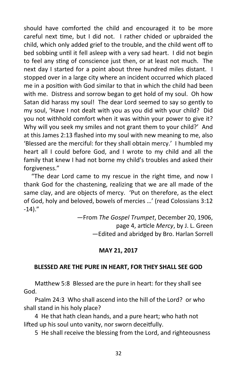should have comforted the child and encouraged it to be more careful next time, but I did not. I rather chided or upbraided the child, which only added grief to the trouble, and the child went off to bed sobbing until it fell asleep with a very sad heart. I did not begin to feel any sting of conscience just then, or at least not much. The next day I started for a point about three hundred miles distant. I stopped over in a large city where an incident occurred which placed me in a position with God similar to that in which the child had been with me. Distress and sorrow began to get hold of my soul. Oh how Satan did harass my soul! The dear Lord seemed to say so gently to my soul, 'Have I not dealt with you as you did with your child? Did you not withhold comfort when it was within your power to give it? Why will you seek my smiles and not grant them to your child?' And at this James 2:13 flashed into my soul with new meaning to me, also 'Blessed are the merciful: for they shall obtain mercy.' I humbled my heart all I could before God, and I wrote to my child and all the family that knew I had not borne my child's troubles and asked their forgiveness."

 "The dear Lord came to my rescue in the right time, and now I thank God for the chastening, realizing that we are all made of the same clay, and are objects of mercy. 'Put on therefore, as the elect of God, holy and beloved, bowels of mercies …' (read Colossians 3:12  $-14$ )."

> —From *The Gospel Trumpet*, December 20, 1906, page 4, article *Mercy*, by J. L. Green —Edited and abridged by Bro. Harlan Sorrell

## **MAY 21, 2017**

## **BLESSED ARE THE PURE IN HEART, FOR THEY SHALL SEE GOD**

Matthew 5:8 Blessed are the pure in heart: for they shall see God.

Psalm 24:3 Who shall ascend into the hill of the Lord? or who shall stand in his holy place?

4 He that hath clean hands, and a pure heart; who hath not lifted up his soul unto vanity, nor sworn deceitfully.

5 He shall receive the blessing from the Lord, and righteousness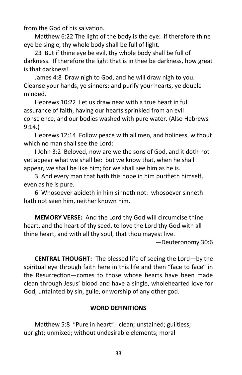from the God of his salvation.

Matthew 6:22 The light of the body is the eye: if therefore thine eye be single, thy whole body shall be full of light.

23 But if thine eye be evil, thy whole body shall be full of darkness. If therefore the light that is in thee be darkness, how great is that darkness!

James 4:8 Draw nigh to God, and he will draw nigh to you. Cleanse your hands, ye sinners; and purify your hearts, ye double minded.

Hebrews 10:22 Let us draw near with a true heart in full assurance of faith, having our hearts sprinkled from an evil conscience, and our bodies washed with pure water. (Also Hebrews 9:14.)

Hebrews 12:14 Follow peace with all men, and holiness, without which no man shall see the Lord:

I John 3:2 Beloved, now are we the sons of God, and it doth not yet appear what we shall be: but we know that, when he shall appear, we shall be like him; for we shall see him as he is.

3 And every man that hath this hope in him purifieth himself, even as he is pure.

6 Whosoever abideth in him sinneth not: whosoever sinneth hath not seen him, neither known him.

**MEMORY VERSE:** And the Lord thy God will circumcise thine heart, and the heart of thy seed, to love the Lord thy God with all thine heart, and with all thy soul, that thou mayest live.

—Deuteronomy 30:6

**CENTRAL THOUGHT:** The blessed life of seeing the Lord—by the spiritual eye through faith here in this life and then "face to face" in the Resurrection—comes to those whose hearts have been made clean through Jesus' blood and have a single, wholehearted love for God, untainted by sin, guile, or worship of any other god.

## **WORD DEFINITIONS**

Matthew 5:8 "Pure in heart": clean; unstained; guiltless; upright; unmixed; without undesirable elements; moral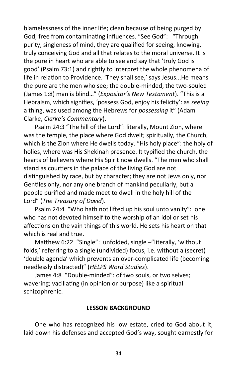blamelessness of the inner life; clean because of being purged by God; free from contaminating influences. "See God": "Through purity, singleness of mind, they are qualified for seeing, knowing, truly conceiving God and all that relates to the moral universe. It is the pure in heart who are able to see and say that 'truly God is good' (Psalm 73:1) and rightly to interpret the whole phenomena of life in relation to Providence. 'They shall see,' says Jesus...He means the pure are the men who see; the double-minded, the two-souled (James 1:8) man is blind…" (*Expositor's New Testament*). "This is a Hebraism, which signifies, 'possess God, enjoy his felicity': as *seeing* a thing, was used among the Hebrews for *possessing* it" (Adam Clarke, *Clarke's Commentary*).

Psalm 24:3 "The hill of the Lord": literally, Mount Zion, where was the temple, the place where God dwelt; spiritually, the Church, which is the Zion where He dwells today. "His holy place": the holy of holies, where was His Shekinah presence. It typified the church, the hearts of believers where His Spirit now dwells. "The men who shall stand as courtiers in the palace of the living God are not distinguished by race, but by character; they are not Jews only, nor Gentiles only, nor any one branch of mankind peculiarly, but a people purified and made meet to dwell in the holy hill of the Lord" (*The Treasury of David*).

Psalm 24:4 "Who hath not lifted up his soul unto vanity": one who has not devoted himself to the worship of an idol or set his affections on the vain things of this world. He sets his heart on that which is real and true.

Matthew 6:22 "Single": unfolded, single –"literally, 'without folds,' referring to a single (undivided) focus, i.e. without a (secret) 'double agenda' which prevents an over-complicated life (becoming needlessly distracted)" (*HELPS Word Studies*).

James 4:8 "Double-minded": of two souls, or two selves; wavering; vacillating (in opinion or purpose) like a spiritual schizophrenic.

## **LESSON BACKGROUND**

One who has recognized his low estate, cried to God about it, laid down his defenses and accepted God's way, sought earnestly for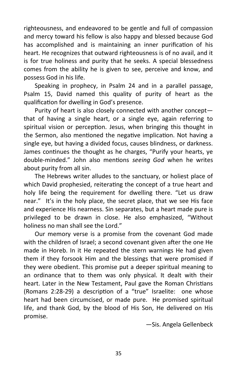righteousness, and endeavored to be gentle and full of compassion and mercy toward his fellow is also happy and blessed because God has accomplished and is maintaining an inner purification of his heart. He recognizes that outward righteousness is of no avail, and it is for true holiness and purity that he seeks. A special blessedness comes from the ability he is given to see, perceive and know, and possess God in his life.

Speaking in prophecy, in Psalm 24 and in a parallel passage, Psalm 15, David named this quality of purity of heart as the qualification for dwelling in God's presence.

Purity of heart is also closely connected with another concept that of having a single heart, or a single eye, again referring to spiritual vision or perception. Jesus, when bringing this thought in the Sermon, also mentioned the negative implication. Not having a single eye, but having a divided focus, causes blindness, or darkness. James continues the thought as he charges, "Purify your hearts, ye double-minded." John also mentions *seeing God* when he writes about purity from all sin.

The Hebrews writer alludes to the sanctuary, or holiest place of which David prophesied, reiterating the concept of a true heart and holy life being the requirement for dwelling there. "Let us draw near." It's in the holy place, the secret place, that we see His face and experience His nearness. Sin separates, but a heart made pure is privileged to be drawn in close. He also emphasized, "Without holiness no man shall see the Lord."

Our memory verse is a promise from the covenant God made with the children of Israel; a second covenant given after the one He made in Horeb. In it He repeated the stern warnings He had given them if they forsook Him and the blessings that were promised if they were obedient. This promise put a deeper spiritual meaning to an ordinance that to them was only physical. It dealt with their heart. Later in the New Testament, Paul gave the Roman Christians (Romans 2:28-29) a description of a "true" Israelite: one whose heart had been circumcised, or made pure. He promised spiritual life, and thank God, by the blood of His Son, He delivered on His promise.

—Sis. Angela Gellenbeck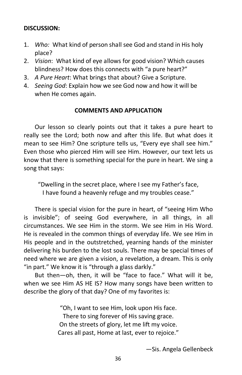## **DISCUSSION:**

- 1. *Who:* What kind of person shall see God and stand in His holy place?
- 2. *Vision*: What kind of eye allows for good vision? Which causes blindness? How does this connects with "a pure heart?"
- 3. *A Pure Heart*: What brings that about? Give a Scripture.
- 4. *Seeing God*: Explain how we see God now and how it will be when He comes again.

## **COMMENTS AND APPLICATION**

Our lesson so clearly points out that it takes a pure heart to really see the Lord; both now and after this life. But what does it mean to see Him? One scripture tells us, "Every eye shall see him." Even those who pierced Him will see Him. However, our text lets us know that there is something special for the pure in heart. We sing a song that says:

"Dwelling in the secret place, where I see my Father's face, I have found a heavenly refuge and my troubles cease."

There is special vision for the pure in heart, of "seeing Him Who is invisible"; of seeing God everywhere, in all things, in all circumstances. We see Him in the storm. We see Him in His Word. He is revealed in the common things of everyday life. We see Him in His people and in the outstretched, yearning hands of the minister delivering his burden to the lost souls. There may be special times of need where we are given a vision, a revelation, a dream. This is only "in part." We know it is "through a glass darkly."

But then—oh, then, it will be "face to face." What will it be, when we see Him AS HE IS? How many songs have been written to describe the glory of that day? One of my favorites is:

> "Oh, I want to see Him, look upon His face. There to sing forever of His saving grace. On the streets of glory, let me lift my voice. Cares all past, Home at last, ever to rejoice."

> > —Sis. Angela Gellenbeck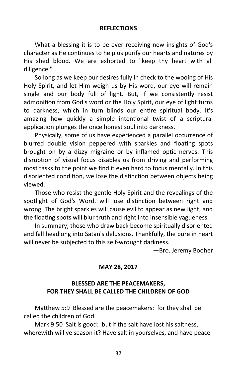## **REFLECTIONS**

What a blessing it is to be ever receiving new insights of God's character as He continues to help us purify our hearts and natures by His shed blood. We are exhorted to "keep thy heart with all diligence."

So long as we keep our desires fully in check to the wooing of His Holy Spirit, and let Him weigh us by His word, our eye will remain single and our body full of light. But, if we consistently resist admonition from God's word or the Holy Spirit, our eye of light turns to darkness, which in turn blinds our entire spiritual body. It's amazing how quickly a simple intentional twist of a scriptural application plunges the once honest soul into darkness.

Physically, some of us have experienced a parallel occurrence of blurred double vision peppered with sparkles and floating spots brought on by a dizzy migraine or by inflamed optic nerves. This disruption of visual focus disables us from driving and performing most tasks to the point we find it even hard to focus mentally. In this disoriented condition, we lose the distinction between objects being viewed.

Those who resist the gentle Holy Spirit and the revealings of the spotlight of God's Word, will lose distinction between right and wrong. The bright sparkles will cause evil to appear as new light, and the floating spots will blur truth and right into insensible vagueness.

In summary, those who draw back become spiritually disoriented and fall headlong into Satan's delusions. Thankfully, the pure in heart will never be subjected to this self-wrought darkness.

—Bro. Jeremy Booher

## **MAY 28, 2017**

## **BLESSED ARE THE PEACEMAKERS, FOR THEY SHALL BE CALLED THE CHILDREN OF GOD**

Matthew 5:9 Blessed are the peacemakers: for they shall be called the children of God.

Mark 9:50 Salt is good: but if the salt have lost his saltness, wherewith will ye season it? Have salt in yourselves, and have peace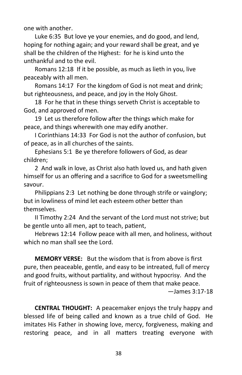one with another.

Luke 6:35 But love ye your enemies, and do good, and lend, hoping for nothing again; and your reward shall be great, and ye shall be the children of the Highest: for he is kind unto the unthankful and to the evil.

Romans 12:18 If it be possible, as much as lieth in you, live peaceably with all men.

Romans 14:17 For the kingdom of God is not meat and drink; but righteousness, and peace, and joy in the Holy Ghost.

18 For he that in these things serveth Christ is acceptable to God, and approved of men.

19 Let us therefore follow after the things which make for peace, and things wherewith one may edify another.

I Corinthians 14:33 For God is not the author of confusion, but of peace, as in all churches of the saints.

Ephesians 5:1 Be ye therefore followers of God, as dear children;

2 And walk in love, as Christ also hath loved us, and hath given himself for us an offering and a sacrifice to God for a sweetsmelling savour.

Philippians 2:3 Let nothing be done through strife or vainglory; but in lowliness of mind let each esteem other better than themselves.

II Timothy 2:24 And the servant of the Lord must not strive; but be gentle unto all men, apt to teach, patient,

Hebrews 12:14 Follow peace with all men, and holiness, without which no man shall see the Lord.

**MEMORY VERSE:** But the wisdom that is from above is first pure, then peaceable, gentle, and easy to be intreated, full of mercy and good fruits, without partiality, and without hypocrisy. And the fruit of righteousness is sown in peace of them that make peace.

—James 3:17-18

**CENTRAL THOUGHT:** A peacemaker enjoys the truly happy and blessed life of being called and known as a true child of God. He imitates His Father in showing love, mercy, forgiveness, making and restoring peace, and in all matters treating everyone with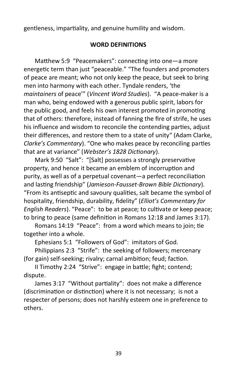gentleness, impartiality, and genuine humility and wisdom.

## **WORD DEFINITIONS**

Matthew 5:9 "Peacemakers": connecting into one—a more energetic term than just "peaceable." "The founders and promoters of peace are meant; who not only keep the peace, but seek to bring men into harmony with each other. Tyndale renders, 'the *maintainers* of peace'" (*Vincent Word Studies*). "A peace-maker is a man who, being endowed with a generous public spirit, labors for the public good, and feels his own interest promoted in promoting that of others: therefore, instead of fanning the fire of strife, he uses his influence and wisdom to reconcile the contending parties, adjust their differences, and restore them to a state of unity" (Adam Clarke, *Clarke's Commentary*). "One who makes peace by reconciling parties that are at variance" (*Webster's 1828 Dictionary*).

Mark 9:50 "Salt": "[Salt] possesses a strongly preservative property, and hence it became an emblem of incorruption and purity, as well as of a perpetual covenant—a perfect reconciliation and lasting friendship" (*Jamieson-Fausset-Brown Bible Dictionary*). "From its antiseptic and savoury qualities, salt became the symbol of hospitality, friendship, durability, fidelity" (*Elliot's Commentary for English Readers*). "Peace": to be at peace; to cultivate or keep peace; to bring to peace (same definition in Romans 12:18 and James 3:17).

Romans 14:19 "Peace": from a word which means to join; tie together into a whole.

Ephesians 5:1 "Followers of God": imitators of God.

Philippians 2:3 "Strife": the seeking of followers; mercenary (for gain) self-seeking; rivalry; carnal ambition; feud; faction.

II Timothy 2:24 "Strive": engage in battle; fight; contend; dispute.

James 3:17 "Without partiality": does not make a difference (discrimination or distinction) where it is not necessary; is not a respecter of persons; does not harshly esteem one in preference to others.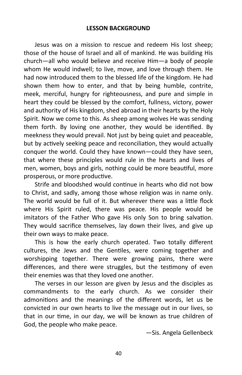Jesus was on a mission to rescue and redeem His lost sheep; those of the house of Israel and all of mankind. He was building His church—all who would believe and receive Him—a body of people whom He would indwell; to live, move, and love through them. He had now introduced them to the blessed life of the kingdom. He had shown them how to enter, and that by being humble, contrite, meek, merciful, hungry for righteousness, and pure and simple in heart they could be blessed by the comfort, fullness, victory, power and authority of His kingdom, shed abroad in their hearts by the Holy Spirit. Now we come to this. As sheep among wolves He was sending them forth. By loving one another, they would be identified. By meekness they would prevail. Not just by being quiet and peaceable, but by actively seeking peace and reconciliation, they would actually conquer the world. Could they have known—could they have seen, that where these principles would rule in the hearts and lives of men, women, boys and girls, nothing could be more beautiful, more prosperous, or more productive.

Strife and bloodshed would continue in hearts who did not bow to Christ, and sadly, among those whose religion was in name only. The world would be full of it. But wherever there was a little flock where His Spirit ruled, there was peace. His people would be imitators of the Father Who gave His only Son to bring salvation. They would sacrifice themselves, lay down their lives, and give up their own ways to make peace.

This is how the early church operated. Two totally different cultures, the Jews and the Gentiles, were coming together and worshipping together. There were growing pains, there were differences, and there were struggles, but the testimony of even their enemies was that they loved one another.

The verses in our lesson are given by Jesus and the disciples as commandments to the early church. As we consider their admonitions and the meanings of the different words, let us be convicted in our own hearts to live the message out in our lives, so that in our time, in our day, we will be known as true children of God, the people who make peace.

—Sis. Angela Gellenbeck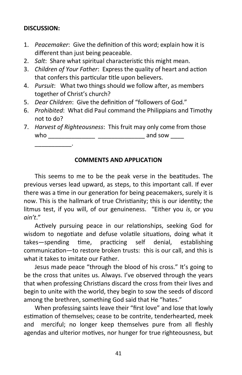## **DISCUSSION:**

\_\_\_\_\_\_\_\_\_\_\_.

- 1. *Peacemaker*: Give the definition of this word; explain how it is different than just being peaceable.
- 2. *Salt*: Share what spiritual characteristic this might mean.
- 3. *Children of Your Father*: Express the quality of heart and action that confers this particular title upon believers.
- 4. *Pursuit*: What two things should we follow after, as members together of Christ's church?
- 5. *Dear Children*: Give the definition of "followers of God."
- 6. *Prohibited*: What did Paul command the Philippians and Timothy not to do?
- 7. *Harvest of Righteousness*: This fruit may only come from those who \_\_\_\_\_\_\_\_\_\_\_\_\_\_ \_\_\_\_\_\_\_\_\_\_\_\_\_\_ and sow \_\_\_\_

## **COMMENTS AND APPLICATION**

This seems to me to be the peak verse in the beatitudes. The previous verses lead upward, as steps, to this important call. If ever there was a time in our generation for being peacemakers, surely it is now. This is the hallmark of true Christianity; this is our identity; the litmus test, if you will, of our genuineness. "Either you *is*, or you *ain't*."

Actively pursuing peace in our relationships, seeking God for wisdom to negotiate and defuse volatile situations, doing what it takes—spending time, practicing self denial, establishing communication—to restore broken trusts: this is our call, and this is what it takes to imitate our Father.

Jesus made peace "through the blood of his cross." It's going to be the cross that unites us. Always. I've observed through the years that when professing Christians discard the cross from their lives and begin to unite with the world, they begin to sow the seeds of discord among the brethren, something God said that He "hates."

When professing saints leave their "first love" and lose that lowly estimation of themselves; cease to be contrite, tenderhearted, meek and merciful; no longer keep themselves pure from all fleshly agendas and ulterior motives, nor hunger for true righteousness, but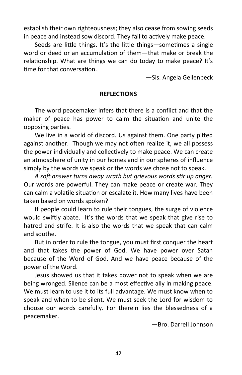establish their own righteousness; they also cease from sowing seeds in peace and instead sow discord. They fail to actively make peace.

Seeds are little things. It's the little things—sometimes a single word or deed or an accumulation of them—that make or break the relationship. What are things we can do today to make peace? It's time for that conversation.

—Sis. Angela Gellenbeck

## **REFLECTIONS**

The word peacemaker infers that there is a conflict and that the maker of peace has power to calm the situation and unite the opposing parties.

We live in a world of discord. Us against them. One party pitted against another. Though we may not often realize it, we all possess the power individually and collectively to make peace. We can create an atmosphere of unity in our homes and in our spheres of influence simply by the words we speak or the words we chose not to speak.

*A soft answer turns away wrath but grievous words stir up anger.*  Our words are powerful. They can make peace or create war. They can calm a volatile situation or escalate it. How many lives have been taken based on words spoken?

If people could learn to rule their tongues, the surge of violence would swiftly abate. It's the words that we speak that give rise to hatred and strife. It is also the words that we speak that can calm and soothe.

But in order to rule the tongue, you must first conquer the heart and that takes the power of God. We have power over Satan because of the Word of God. And we have peace because of the power of the Word.

Jesus showed us that it takes power not to speak when we are being wronged. Silence can be a most effective ally in making peace. We must learn to use it to its full advantage. We must know when to speak and when to be silent. We must seek the Lord for wisdom to choose our words carefully. For therein lies the blessedness of a peacemaker.

—Bro. Darrell Johnson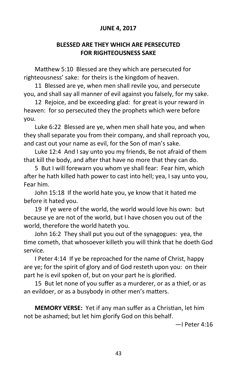## **JUNE 4, 2017**

## **BLESSED ARE THEY WHICH ARE PERSECUTED FOR RIGHTEOUSNESS SAKE**

Matthew 5:10 Blessed are they which are persecuted for righteousness' sake: for theirs is the kingdom of heaven.

11 Blessed are ye, when men shall revile you, and persecute you, and shall say all manner of evil against you falsely, for my sake.

12 Rejoice, and be exceeding glad: for great is your reward in heaven: for so persecuted they the prophets which were before you.

Luke 6:22 Blessed are ye, when men shall hate you, and when they shall separate you from their company, and shall reproach you, and cast out your name as evil, for the Son of man's sake.

Luke 12:4 And I say unto you my friends, Be not afraid of them that kill the body, and after that have no more that they can do.

5 But I will forewarn you whom ye shall fear: Fear him, which after he hath killed hath power to cast into hell; yea, I say unto you, Fear him.

John 15:18 If the world hate you, ye know that it hated me before it hated you.

19 If ye were of the world, the world would love his own: but because ye are not of the world, but I have chosen you out of the world, therefore the world hateth you.

John 16:2 They shall put you out of the synagogues: yea, the time cometh, that whosoever killeth you will think that he doeth God service.

I Peter 4:14 If ye be reproached for the name of Christ, happy are ye; for the spirit of glory and of God resteth upon you: on their part he is evil spoken of, but on your part he is glorified.

15 But let none of you suffer as a murderer, or as a thief, or as an evildoer, or as a busybody in other men's matters.

**MEMORY VERSE:** Yet if any man suffer as a Christian, let him not be ashamed; but let him glorify God on this behalf.

—I Peter 4:16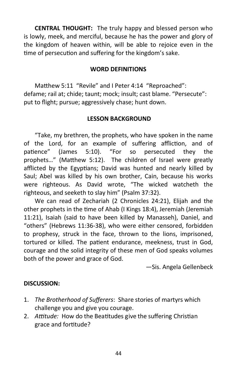**CENTRAL THOUGHT:** The truly happy and blessed person who is lowly, meek, and merciful, because he has the power and glory of the kingdom of heaven within, will be able to rejoice even in the time of persecution and suffering for the kingdom's sake.

## **WORD DEFINITIONS**

Matthew 5:11 "Revile" and I Peter 4:14 "Reproached": defame; rail at; chide; taunt; mock; insult; cast blame. "Persecute": put to flight; pursue; aggressively chase; hunt down.

## **LESSON BACKGROUND**

"Take, my brethren, the prophets, who have spoken in the name of the Lord, for an example of suffering affliction, and of patience" (James 5:10). "For so persecuted they the prophets…" (Matthew 5:12). The children of Israel were greatly afflicted by the Egyptians; David was hunted and nearly killed by Saul; Abel was killed by his own brother, Cain, because his works were righteous. As David wrote, "The wicked watcheth the righteous, and seeketh to slay him" (Psalm 37:32).

We can read of Zechariah (2 Chronicles 24:21), Elijah and the other prophets in the time of Ahab (I Kings 18:4), Jeremiah (Jeremiah 11:21), Isaiah (said to have been killed by Manasseh), Daniel, and "others" (Hebrews 11:36-38), who were either censored, forbidden to prophesy, struck in the face, thrown to the lions, imprisoned, tortured or killed. The patient endurance, meekness, trust in God, courage and the solid integrity of these men of God speaks volumes both of the power and grace of God.

—Sis. Angela Gellenbeck

## **DISCUSSION:**

- 1. *The Brotherhood of Sufferers*: Share stories of martyrs which challenge you and give you courage.
- 2. *Attitude:* How do the Beatitudes give the suffering Christian grace and fortitude?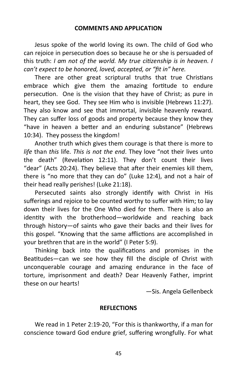Jesus spoke of the world loving its own. The child of God who can rejoice in persecution does so because he or she is persuaded of this truth: *I am not of the world. My true citizenship is in heaven. I can't expect to be honored, loved, accepted, or "fit in" here.*

There are other great scriptural truths that true Christians embrace which give them the amazing fortitude to endure persecution. One is the vision that they have of Christ; as pure in heart, they see God. They see Him who is invisible (Hebrews 11:27). They also know and see that immortal, invisible heavenly reward. They can suffer loss of goods and property because they know they "have in heaven a better and an enduring substance" (Hebrews 10:34). They possess the kingdom!

Another truth which gives them courage is that there is more to *life* than *this* life. *This is not the end*. They love "not their lives unto the death" (Revelation 12:11). They don't count their lives "dear" (Acts 20:24). They believe that after their enemies kill them, there is "no more that they can do" (Luke 12:4), and not a hair of their head really perishes! (Luke 21:18).

Persecuted saints also strongly identify with Christ in His sufferings and rejoice to be counted worthy to suffer with Him; to lay down their lives for the One Who died for them. There is also an identity with the brotherhood—worldwide and reaching back through history—of saints who gave their backs and their lives for this gospel. "Knowing that the same afflictions are accomplished in your brethren that are in the world" (I Peter 5:9).

Thinking back into the qualifications and promises in the Beatitudes—can we see how they fill the disciple of Christ with unconquerable courage and amazing endurance in the face of torture, imprisonment and death? Dear Heavenly Father, imprint these on our hearts!

—Sis. Angela Gellenbeck

## **REFLECTIONS**

We read in 1 Peter 2:19-20, "For this is thankworthy, if a man for conscience toward God endure grief, suffering wrongfully. For what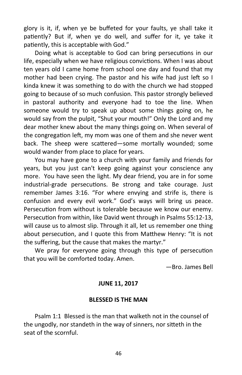glory is it, if, when ye be buffeted for your faults, ye shall take it patiently? But if, when ye do well, and suffer for it, ye take it patiently, this is acceptable with God."

Doing what is acceptable to God can bring persecutions in our life, especially when we have religious convictions. When I was about ten years old I came home from school one day and found that my mother had been crying. The pastor and his wife had just left so I kinda knew it was something to do with the church we had stopped going to because of so much confusion. This pastor strongly believed in pastoral authority and everyone had to toe the line. When someone would try to speak up about some things going on, he would say from the pulpit, "Shut your mouth!" Only the Lord and my dear mother knew about the many things going on. When several of the congregation left, my mom was one of them and she never went back. The sheep were scattered—some mortally wounded; some would wander from place to place for years.

You may have gone to a church with your family and friends for years, but you just can't keep going against your conscience any more. You have seen the light. My dear friend, you are in for some industrial-grade persecutions. Be strong and take courage. Just remember James 3:16. "For where envying and strife is, there is confusion and every evil work." God's ways will bring us peace. Persecution from without is tolerable because we know our enemy. Persecution from within, like David went through in Psalms 55:12-13, will cause us to almost slip. Through it all, let us remember one thing about persecution, and I quote this from Matthew Henry: "It is not the suffering, but the cause that makes the martyr."

We pray for everyone going through this type of persecution that you will be comforted today. Amen.

—Bro. James Bell

## **JUNE 11, 2017**

## **BLESSED IS THE MAN**

Psalm 1:1 Blessed is the man that walketh not in the counsel of the ungodly, nor standeth in the way of sinners, nor sitteth in the seat of the scornful.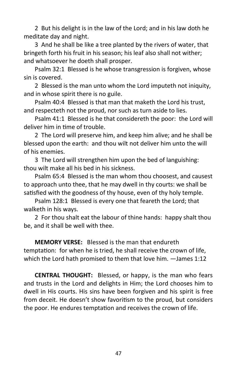2 But his delight is in the law of the Lord; and in his law doth he meditate day and night.

3 And he shall be like a tree planted by the rivers of water, that bringeth forth his fruit in his season; his leaf also shall not wither; and whatsoever he doeth shall prosper.

Psalm 32:1 Blessed is he whose transgression is forgiven, whose sin is covered.

2 Blessed is the man unto whom the Lord imputeth not iniquity, and in whose spirit there is no guile.

Psalm 40:4 Blessed is that man that maketh the Lord his trust, and respecteth not the proud, nor such as turn aside to lies.

Psalm 41:1 Blessed is he that considereth the poor: the Lord will deliver him in time of trouble.

2 The Lord will preserve him, and keep him alive; and he shall be blessed upon the earth: and thou wilt not deliver him unto the will of his enemies.

3 The Lord will strengthen him upon the bed of languishing: thou wilt make all his bed in his sickness.

Psalm 65:4 Blessed is the man whom thou choosest, and causest to approach unto thee, that he may dwell in thy courts: we shall be satisfied with the goodness of thy house, even of thy holy temple.

Psalm 128:1 Blessed is every one that feareth the Lord; that walketh in his ways.

2 For thou shalt eat the labour of thine hands: happy shalt thou be, and it shall be well with thee.

**MEMORY VERSE:** Blessed is the man that endureth temptation: for when he is tried, he shall receive the crown of life, which the Lord hath promised to them that love him. —James 1:12

**CENTRAL THOUGHT:** Blessed, or happy, is the man who fears and trusts in the Lord and delights in Him; the Lord chooses him to dwell in His courts. His sins have been forgiven and his spirit is free from deceit. He doesn't show favoritism to the proud, but considers the poor. He endures temptation and receives the crown of life.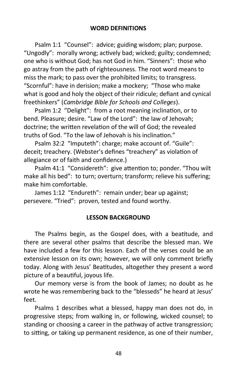Psalm 1:1 "Counsel": advice; guiding wisdom; plan; purpose. "Ungodly": morally wrong; actively bad; wicked; guilty; condemned; one who is without God; has not God in him. "Sinners": those who go astray from the path of righteousness. The root word means to miss the mark; to pass over the prohibited limits; to transgress. "Scornful": have in derision; make a mockery; "Those who make what is good and holy the object of their ridicule; defiant and cynical freethinkers" (*Cambridge Bible for Schools and Colleges*).

Psalm 1:2 "Delight": from a root meaning inclination, or to bend. Pleasure; desire. "Law of the Lord": the law of Jehovah; doctrine; the written revelation of the will of God; the revealed truths of God. "To the law of Jehovah is his inclination."

Psalm 32:2 "Imputeth": charge; make account of. "Guile": deceit; treachery. (Webster's defines "treachery" as violation of allegiance or of faith and confidence.)

Psalm 41:1 "Considereth": give attention to; ponder. "Thou wilt make all his bed": to turn; overturn; transform; relieve his suffering; make him comfortable.

James 1:12 "Endureth": remain under; bear up against; persevere. "Tried": proven, tested and found worthy.

## **LESSON BACKGROUND**

The Psalms begin, as the Gospel does, with a beatitude, and there are several other psalms that describe the blessed man. We have included a few for this lesson. Each of the verses could be an extensive lesson on its own; however, we will only comment briefly today. Along with Jesus' Beatitudes, altogether they present a word picture of a beautiful, joyous life.

Our memory verse is from the book of James; no doubt as he wrote he was remembering back to the "blesseds" he heard at Jesus' feet.

Psalms 1 describes what a blessed, happy man does not do, in progressive steps; from walking in, or following, wicked counsel; to standing or choosing a career in the pathway of active transgression; to sitting, or taking up permanent residence, as one of their number,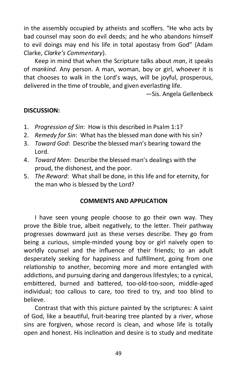in the assembly occupied by atheists and scoffers. "He who acts by bad counsel may soon do evil deeds; and he who abandons himself to evil doings may end his life in total apostasy from God" (Adam Clarke, *Clarke's Commentary*).

Keep in mind that when the Scripture talks about *man*, it speaks of *mankind*. Any person. A man, woman, boy or girl, whoever it is that chooses to walk in the Lord's ways, will be joyful, prosperous, delivered in the time of trouble, and given everlasting life.

—Sis. Angela Gellenbeck

## **DISCUSSION:**

- 1. *Progression of Sin*: How is this described in Psalm 1:1?
- 2. *Remedy for Sin*: What has the blessed man done with his sin?
- 3. *Toward God*: Describe the blessed man's bearing toward the Lord.
- 4. *Toward Men*: Describe the blessed man's dealings with the proud, the dishonest, and the poor.
- 5. *The Reward*: What shall be done, in this life and for eternity, for the man who is blessed by the Lord?

## **COMMENTS AND APPLICATION**

I have seen young people choose to go their own way. They prove the Bible true, albeit negatively, to the letter. Their pathway progresses downward just as these verses describe. They go from being a curious, simple-minded young boy or girl naively open to worldly counsel and the influence of their friends; to an adult desperately seeking for happiness and fulfillment, going from one relationship to another, becoming more and more entangled with addictions, and pursuing daring and dangerous lifestyles; to a cynical, embittered, burned and battered, too-old-too-soon, middle-aged individual; too callous to care, too tired to try, and too blind to believe.

Contrast that with this picture painted by the scriptures: A saint of God, like a beautiful, fruit-bearing tree planted by a river, whose sins are forgiven, whose record is clean, and whose life is totally open and honest. His inclination and desire is to study and meditate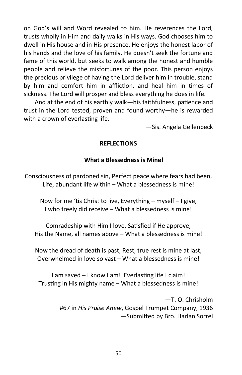on God's will and Word revealed to him. He reverences the Lord, trusts wholly in Him and daily walks in His ways. God chooses him to dwell in His house and in His presence. He enjoys the honest labor of his hands and the love of his family. He doesn't seek the fortune and fame of this world, but seeks to walk among the honest and humble people and relieve the misfortunes of the poor. This person enjoys the precious privilege of having the Lord deliver him in trouble, stand by him and comfort him in affliction, and heal him in times of sickness. The Lord will prosper and bless everything he does in life.

And at the end of his earthly walk—his faithfulness, patience and trust in the Lord tested, proven and found worthy—he is rewarded with a crown of everlasting life.

—Sis. Angela Gellenbeck

## **REFLECTIONS**

## **What a Blessedness is Mine!**

Consciousness of pardoned sin, Perfect peace where fears had been, Life, abundant life within – What a blessedness is mine!

Now for me 'tis Christ to live, Everything – myself – I give, I who freely did receive – What a blessedness is mine!

Comradeship with Him I love, Satisfied if He approve, His the Name, all names above – What a blessedness is mine!

Now the dread of death is past, Rest, true rest is mine at last, Overwhelmed in love so vast – What a blessedness is mine!

I am saved – I know I am! Everlasting life I claim! Trusting in His mighty name – What a blessedness is mine!

> —T. O. Chrisholm #67 in *His Praise Anew*, Gospel Trumpet Company, 1936 —Submitted by Bro. Harlan Sorrel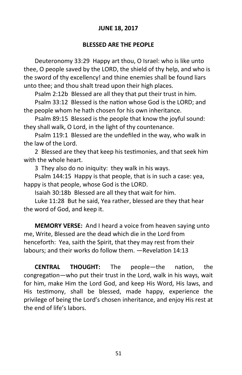## **JUNE 18, 2017**

## **BLESSED ARE THE PEOPLE**

Deuteronomy 33:29 Happy art thou, O Israel: who is like unto thee, O people saved by the LORD, the shield of thy help, and who is the sword of thy excellency! and thine enemies shall be found liars unto thee; and thou shalt tread upon their high places.

Psalm 2:12b Blessed are all they that put their trust in him.

Psalm 33:12 Blessed is the nation whose God is the LORD; and the people whom he hath chosen for his own inheritance.

Psalm 89:15 Blessed is the people that know the joyful sound: they shall walk, O Lord, in the light of thy countenance.

Psalm 119:1 Blessed are the undefiled in the way, who walk in the law of the Lord.

2 Blessed are they that keep his testimonies, and that seek him with the whole heart.

3 They also do no iniquity: they walk in his ways.

Psalm 144:15 Happy is that people, that is in such a case: yea, happy is that people, whose God is the LORD.

Isaiah 30:18b Blessed are all they that wait for him.

Luke 11:28 But he said, Yea rather, blessed are they that hear the word of God, and keep it.

**MEMORY VERSE:** And I heard a voice from heaven saying unto me, Write, Blessed are the dead which die in the Lord from henceforth: Yea, saith the Spirit, that they may rest from their labours; and their works do follow them. —Revelation 14:13

**CENTRAL THOUGHT:** The people—the nation, the congregation—who put their trust in the Lord, walk in his ways, wait for him, make Him the Lord God, and keep His Word, His laws, and His testimony, shall be blessed, made happy, experience the privilege of being the Lord's chosen inheritance, and enjoy His rest at the end of life's labors.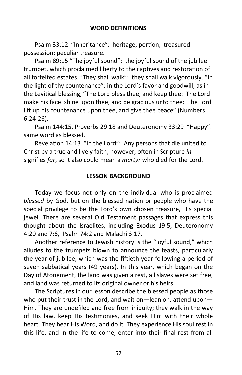#### **WORD DEFINITIONS**

Psalm 33:12 "Inheritance": heritage; portion; treasured possession; peculiar treasure.

Psalm 89:15 "The joyful sound": the joyful sound of the jubilee trumpet, which proclaimed liberty to the captives and restoration of all forfeited estates. "They shall walk": they shall walk vigorously. "In the light of thy countenance": in the Lord's favor and goodwill; as in the Levitical blessing, "The Lord bless thee, and keep thee: The Lord make his face shine upon thee, and be gracious unto thee: The Lord lift up his countenance upon thee, and give thee peace" (Numbers 6:24-26).

Psalm 144:15, Proverbs 29:18 and Deuteronomy 33:29 "Happy": same word as blessed.

Revelation 14:13 "In the Lord": Any persons that die united to Christ by a true and lively faith; however, often in Scripture *in*  signifies *for*, so it also could mean a *martyr* who died for the Lord.

#### **LESSON BACKGROUND**

Today we focus not only on the individual who is proclaimed *blessed* by God, but on the blessed nation or people who have the special privilege to be the Lord's own chosen treasure, His special jewel. There are several Old Testament passages that express this thought about the Israelites, including Exodus 19:5, Deuteronomy 4:20 and 7:6, Psalm 74:2 and Malachi 3:17.

Another reference to Jewish history is the "joyful sound," which alludes to the trumpets blown to announce the feasts, particularly the year of jubilee, which was the fiftieth year following a period of seven sabbatical years (49 years). In this year, which began on the Day of Atonement, the land was given a rest, all slaves were set free, and land was returned to its original owner or his heirs.

The Scriptures in our lesson describe the blessed people as those who put their trust in the Lord, and wait on—lean on, attend upon— Him. They are undefiled and free from iniquity; they walk in the way of His law, keep His testimonies, and seek Him with their whole heart. They hear His Word, and do it. They experience His soul rest in this life, and in the life to come, enter into their final rest from all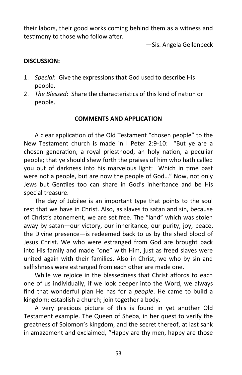their labors, their good works coming behind them as a witness and testimony to those who follow after.

—Sis. Angela Gellenbeck

## **DISCUSSION:**

- 1. *Special*: Give the expressions that God used to describe His people.
- 2. *The Blessed*: Share the characteristics of this kind of nation or people.

## **COMMENTS AND APPLICATION**

A clear application of the Old Testament "chosen people" to the New Testament church is made in I Peter 2:9-10: "But ye are a chosen generation, a royal priesthood, an holy nation, a peculiar people; that ye should shew forth the praises of him who hath called you out of darkness into his marvelous light: Which in time past were not a people, but are now the people of God…" Now, not only Jews but Gentiles too can share in God's inheritance and be His special treasure.

The day of Jubilee is an important type that points to the soul rest that we have in Christ. Also, as slaves to satan and sin, because of Christ's atonement, we are set free. The "land" which was stolen away by satan—our victory, our inheritance, our purity, joy, peace, the Divine presence—is redeemed back to us by the shed blood of Jesus Christ. We who were estranged from God are brought back into His family and made "one" with Him, just as freed slaves were united again with their families. Also in Christ, we who by sin and selfishness were estranged from each other are made one.

While we rejoice in the blessedness that Christ affords to each one of us individually, if we look deeper into the Word, we always find that wonderful plan He has for a *people*. He came to build a kingdom; establish a church; join together a body.

A very precious picture of this is found in yet another Old Testament example. The Queen of Sheba, in her quest to verify the greatness of Solomon's kingdom, and the secret thereof, at last sank in amazement and exclaimed, "Happy are thy men, happy are those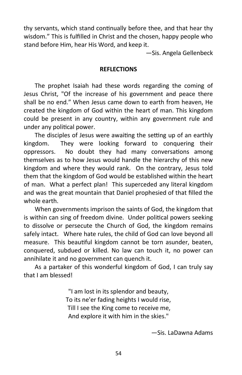thy servants, which stand continually before thee, and that hear thy wisdom." This is fulfilled in Christ and the chosen, happy people who stand before Him, hear His Word, and keep it.

—Sis. Angela Gellenbeck

## **REFLECTIONS**

The prophet Isaiah had these words regarding the coming of Jesus Christ, "Of the increase of his government and peace there shall be no end." When Jesus came down to earth from heaven, He created the kingdom of God within the heart of man. This kingdom could be present in any country, within any government rule and under any political power.

The disciples of Jesus were awaiting the setting up of an earthly kingdom. They were looking forward to conquering their oppressors. No doubt they had many conversations among themselves as to how Jesus would handle the hierarchy of this new kingdom and where they would rank. On the contrary, Jesus told them that the kingdom of God would be established within the heart of man. What a perfect plan! This superceded any literal kingdom and was the great mountain that Daniel prophesied of that filled the whole earth.

When governments imprison the saints of God, the kingdom that is within can sing of freedom divine. Under political powers seeking to dissolve or persecute the Church of God, the kingdom remains safely intact. Where hate rules, the child of God can love beyond all measure. This beautiful kingdom cannot be torn asunder, beaten, conquered, subdued or killed. No law can touch it, no power can annihilate it and no government can quench it.

As a partaker of this wonderful kingdom of God, I can truly say that I am blessed!

> "I am lost in its splendor and beauty, To its ne'er fading heights I would rise, Till I see the King come to receive me, And explore it with him in the skies."

> > —Sis. LaDawna Adams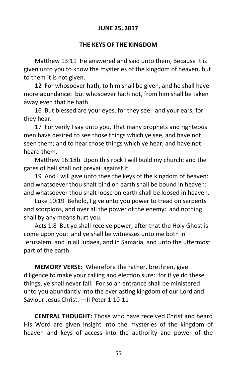## **JUNE 25, 2017**

## **THE KEYS OF THE KINGDOM**

Matthew 13:11 He answered and said unto them, Because it is given unto you to know the mysteries of the kingdom of heaven, but to them it is not given.

12 For whosoever hath, to him shall be given, and he shall have more abundance: but whosoever hath not, from him shall be taken away even that he hath.

16 But blessed are your eyes, for they see: and your ears, for they hear.

17 For verily I say unto you, That many prophets and righteous men have desired to see those things which ye see, and have not seen them; and to hear those things which ye hear, and have not heard them.

Matthew 16:18b Upon this rock I will build my church; and the gates of hell shall not prevail against it.

19 And I will give unto thee the keys of the kingdom of heaven: and whatsoever thou shalt bind on earth shall be bound in heaven: and whatsoever thou shalt loose on earth shall be loosed in heaven.

Luke 10:19 Behold, I give unto you power to tread on serpents and scorpions, and over all the power of the enemy: and nothing shall by any means hurt you.

Acts 1:8 But ye shall receive power, after that the Holy Ghost is come upon you: and ye shall be witnesses unto me both in Jerusalem, and in all Judaea, and in Samaria, and unto the uttermost part of the earth.

**MEMORY VERSE:** Wherefore the rather, brethren, give diligence to make your calling and election sure: for if ye do these things, ye shall never fall: For so an entrance shall be ministered unto you abundantly into the everlasting kingdom of our Lord and Saviour Jesus Christ. —II Peter 1:10-11

**CENTRAL THOUGHT:** Those who have received Christ and heard His Word are given insight into the mysteries of the kingdom of heaven and keys of access into the authority and power of the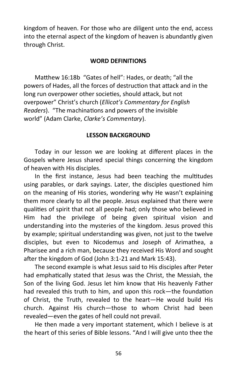kingdom of heaven. For those who are diligent unto the end, access into the eternal aspect of the kingdom of heaven is abundantly given through Christ.

## **WORD DEFINITIONS**

Matthew 16:18b "Gates of hell": Hades, or death; "all the powers of Hades, all the forces of destruction that attack and in the long run overpower other societies, should attack, but not overpower" Christ's church (*Ellicot's Commentary for English Readers*). "The machinations and powers of the invisible world" (Adam Clarke, *Clarke's Commentary*).

## **LESSON BACKGROUND**

Today in our lesson we are looking at different places in the Gospels where Jesus shared special things concerning the kingdom of heaven with His disciples.

In the first instance, Jesus had been teaching the multitudes using parables, or dark sayings. Later, the disciples questioned him on the meaning of His stories, wondering why He wasn't explaining them more clearly to all the people. Jesus explained that there were qualities of spirit that not all people had; only those who believed in Him had the privilege of being given spiritual vision and understanding into the mysteries of the kingdom. Jesus proved this by example; spiritual understanding was given, not just to the twelve disciples, but even to Nicodemus and Joseph of Arimathea, a Pharisee and a rich man, because they received His Word and sought after the kingdom of God (John 3:1-21 and Mark 15:43).

The second example is what Jesus said to His disciples after Peter had emphatically stated that Jesus was the Christ, the Messiah, the Son of the living God. Jesus let him know that His heavenly Father had revealed this truth to him, and upon this rock—the foundation of Christ, the Truth, revealed to the heart—He would build His church. Against His church—those to whom Christ had been revealed—even the gates of hell could not prevail.

He then made a very important statement, which I believe is at the heart of this series of Bible lessons. "And I will give unto thee the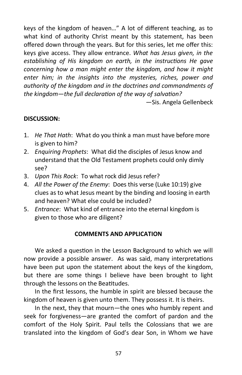keys of the kingdom of heaven…" A lot of different teaching, as to what kind of authority Christ meant by this statement, has been offered down through the years. But for this series, let me offer this: keys give access. They allow entrance. *What has Jesus given, in the establishing of His kingdom on earth, in the instructions He gave concerning how a man might enter the kingdom, and how it might enter him; in the insights into the mysteries, riches, power and authority of the kingdom and in the doctrines and commandments of the kingdom—the full declaration of the way of salvation?*

—Sis. Angela Gellenbeck

## **DISCUSSION:**

- 1. *He That Hath*: What do you think a man must have before more is given to him?
- 2. *Enquiring Prophets*: What did the disciples of Jesus know and understand that the Old Testament prophets could only dimly see?
- 3. *Upon This Rock*: To what rock did Jesus refer?
- 4. *All the Power of the Enemy*: Does this verse (Luke 10:19) give clues as to what Jesus meant by the binding and loosing in earth and heaven? What else could be included?
- 5. *Entrance*: What kind of entrance into the eternal kingdom is given to those who are diligent?

## **COMMENTS AND APPLICATION**

We asked a question in the Lesson Background to which we will now provide a possible answer. As was said, many interpretations have been put upon the statement about the keys of the kingdom, but there are some things I believe have been brought to light through the lessons on the Beatitudes.

In the first lessons, the humble in spirit are blessed because the kingdom of heaven is given unto them. They possess it. It is theirs.

In the next, they that mourn—the ones who humbly repent and seek for forgiveness—are granted the comfort of pardon and the comfort of the Holy Spirit. Paul tells the Colossians that we are translated into the kingdom of God's dear Son, in Whom we have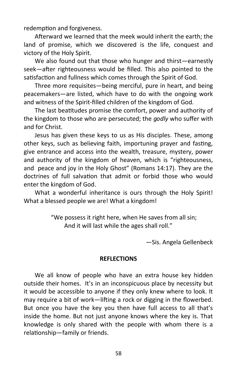redemption and forgiveness.

Afterward we learned that the meek would inherit the earth; the land of promise, which we discovered is the life, conquest and victory of the Holy Spirit.

We also found out that those who hunger and thirst—earnestly seek—after righteousness would be filled. This also pointed to the satisfaction and fullness which comes through the Spirit of God.

Three more requisites—being merciful, pure in heart, and being peacemakers—are listed, which have to do with the ongoing work and witness of the Spirit-filled children of the kingdom of God.

The last beatitudes promise the comfort, power and authority of the kingdom to those who are persecuted; the *godly* who suffer with and for Christ.

Jesus has given these keys to us as His disciples. These, among other keys, such as believing faith, importuning prayer and fasting, give entrance and access into the wealth, treasure, mystery, power and authority of the kingdom of heaven, which is "righteousness, and peace and joy in the Holy Ghost" (Romans 14:17). They are the doctrines of full salvation that admit or forbid those who would enter the kingdom of God.

What a wonderful inheritance is ours through the Holy Spirit! What a blessed people we are! What a kingdom!

> "We possess it right here, when He saves from all sin; And it will last while the ages shall roll."

> > —Sis. Angela Gellenbeck

## **REFLECTIONS**

We all know of people who have an extra house key hidden outside their homes. It's in an inconspicuous place by necessity but it would be accessible to anyone if they only knew where to look. It may require a bit of work—lifting a rock or digging in the flowerbed. But once you have the key you then have full access to all that's inside the home. But not just anyone knows where the key is. That knowledge is only shared with the people with whom there is a relationship—family or friends.

58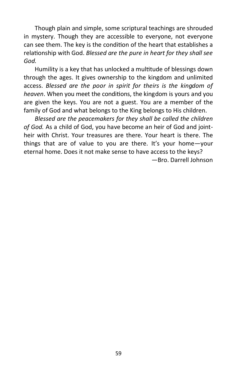Though plain and simple, some scriptural teachings are shrouded in mystery. Though they are accessible to everyone, not everyone can see them. The key is the condition of the heart that establishes a relationship with God. *Blessed are the pure in heart for they shall see God.* 

Humility is a key that has unlocked a multitude of blessings down through the ages. It gives ownership to the kingdom and unlimited access. *Blessed are the poor in spirit for theirs is the kingdom of heaven*. When you meet the conditions, the kingdom is yours and you are given the keys. You are not a guest. You are a member of the family of God and what belongs to the King belongs to His children.

*Blessed are the peacemakers for they shall be called the children of God.* As a child of God, you have become an heir of God and jointheir with Christ. Your treasures are there. Your heart is there. The things that are of value to you are there. It's your home—your eternal home. Does it not make sense to have access to the keys?

—Bro. Darrell Johnson